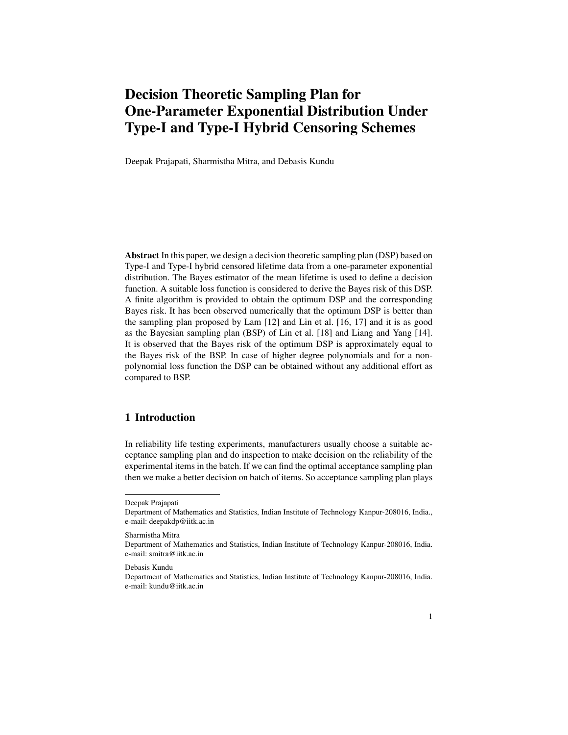# Decision Theoretic Sampling Plan for One-Parameter Exponential Distribution Under Type-I and Type-I Hybrid Censoring Schemes

Deepak Prajapati, Sharmistha Mitra, and Debasis Kundu

Abstract In this paper, we design a decision theoretic sampling plan (DSP) based on Type-I and Type-I hybrid censored lifetime data from a one-parameter exponential distribution. The Bayes estimator of the mean lifetime is used to define a decision function. A suitable loss function is considered to derive the Bayes risk of this DSP. A finite algorithm is provided to obtain the optimum DSP and the corresponding Bayes risk. It has been observed numerically that the optimum DSP is better than the sampling plan proposed by Lam [12] and Lin et al. [16, 17] and it is as good as the Bayesian sampling plan (BSP) of Lin et al. [18] and Liang and Yang [14]. It is observed that the Bayes risk of the optimum DSP is approximately equal to the Bayes risk of the BSP. In case of higher degree polynomials and for a nonpolynomial loss function the DSP can be obtained without any additional effort as compared to BSP.

# 1 Introduction

In reliability life testing experiments, manufacturers usually choose a suitable acceptance sampling plan and do inspection to make decision on the reliability of the experimental items in the batch. If we can find the optimal acceptance sampling plan then we make a better decision on batch of items. So acceptance sampling plan plays

Sharmistha Mitra

Deepak Prajapati

Department of Mathematics and Statistics, Indian Institute of Technology Kanpur-208016, India., e-mail: deepakdp@iitk.ac.in

Department of Mathematics and Statistics, Indian Institute of Technology Kanpur-208016, India. e-mail: smitra@iitk.ac.in

Debasis Kundu

Department of Mathematics and Statistics, Indian Institute of Technology Kanpur-208016, India. e-mail: kundu@iitk.ac.in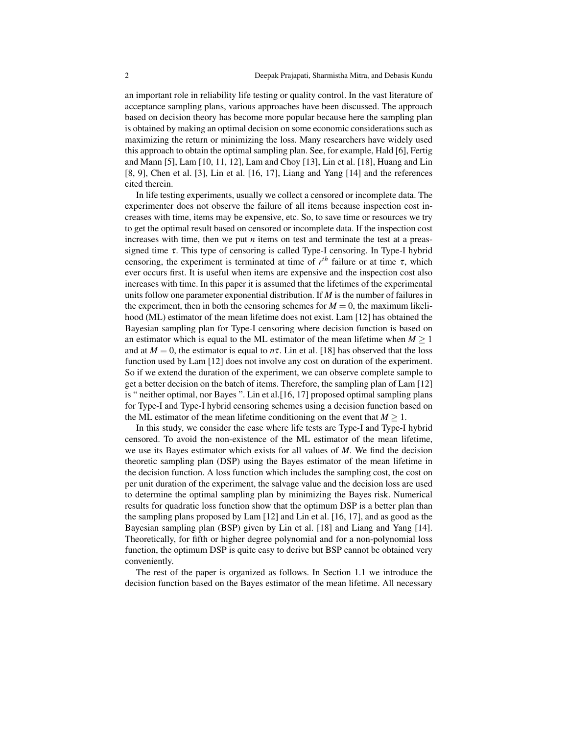an important role in reliability life testing or quality control. In the vast literature of acceptance sampling plans, various approaches have been discussed. The approach based on decision theory has become more popular because here the sampling plan is obtained by making an optimal decision on some economic considerations such as maximizing the return or minimizing the loss. Many researchers have widely used this approach to obtain the optimal sampling plan. See, for example, Hald [6], Fertig and Mann [5], Lam [10, 11, 12], Lam and Choy [13], Lin et al. [18], Huang and Lin [8, 9], Chen et al. [3], Lin et al. [16, 17], Liang and Yang [14] and the references cited therein.

In life testing experiments, usually we collect a censored or incomplete data. The experimenter does not observe the failure of all items because inspection cost increases with time, items may be expensive, etc. So, to save time or resources we try to get the optimal result based on censored or incomplete data. If the inspection cost increases with time, then we put  $n$  items on test and terminate the test at a preassigned time  $\tau$ . This type of censoring is called Type-I censoring. In Type-I hybrid censoring, the experiment is terminated at time of  $r^{th}$  failure or at time  $\tau$ , which ever occurs first. It is useful when items are expensive and the inspection cost also increases with time. In this paper it is assumed that the lifetimes of the experimental units follow one parameter exponential distribution. If *M* is the number of failures in the experiment, then in both the censoring schemes for  $M = 0$ , the maximum likelihood (ML) estimator of the mean lifetime does not exist. Lam [12] has obtained the Bayesian sampling plan for Type-I censoring where decision function is based on an estimator which is equal to the ML estimator of the mean lifetime when  $M > 1$ and at  $M = 0$ , the estimator is equal to  $n\tau$ . Lin et al. [18] has observed that the loss function used by Lam [12] does not involve any cost on duration of the experiment. So if we extend the duration of the experiment, we can observe complete sample to get a better decision on the batch of items. Therefore, the sampling plan of Lam [12] is " neither optimal, nor Bayes ". Lin et al.[16, 17] proposed optimal sampling plans for Type-I and Type-I hybrid censoring schemes using a decision function based on the ML estimator of the mean lifetime conditioning on the event that  $M \geq 1$ .

In this study, we consider the case where life tests are Type-I and Type-I hybrid censored. To avoid the non-existence of the ML estimator of the mean lifetime, we use its Bayes estimator which exists for all values of *M*. We find the decision theoretic sampling plan (DSP) using the Bayes estimator of the mean lifetime in the decision function. A loss function which includes the sampling cost, the cost on per unit duration of the experiment, the salvage value and the decision loss are used to determine the optimal sampling plan by minimizing the Bayes risk. Numerical results for quadratic loss function show that the optimum DSP is a better plan than the sampling plans proposed by Lam [12] and Lin et al. [16, 17], and as good as the Bayesian sampling plan (BSP) given by Lin et al. [18] and Liang and Yang [14]. Theoretically, for fifth or higher degree polynomial and for a non-polynomial loss function, the optimum DSP is quite easy to derive but BSP cannot be obtained very conveniently.

The rest of the paper is organized as follows. In Section 1.1 we introduce the decision function based on the Bayes estimator of the mean lifetime. All necessary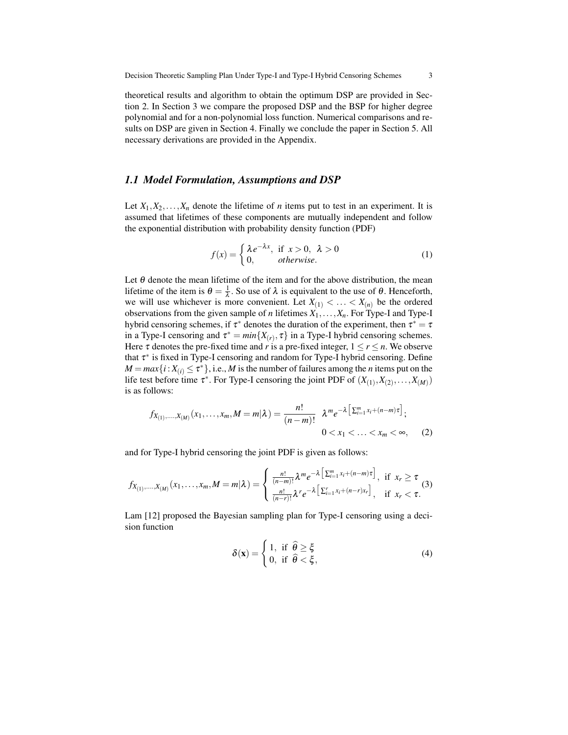theoretical results and algorithm to obtain the optimum DSP are provided in Section 2. In Section 3 we compare the proposed DSP and the BSP for higher degree polynomial and for a non-polynomial loss function. Numerical comparisons and results on DSP are given in Section 4. Finally we conclude the paper in Section 5. All necessary derivations are provided in the Appendix.

#### *1.1 Model Formulation, Assumptions and DSP*

Let  $X_1, X_2, \ldots, X_n$  denote the lifetime of *n* items put to test in an experiment. It is assumed that lifetimes of these components are mutually independent and follow the exponential distribution with probability density function (PDF)

$$
f(x) = \begin{cases} \lambda e^{-\lambda x}, & \text{if } x > 0, \ \lambda > 0 \\ 0, & otherwise. \end{cases}
$$
 (1)

Let  $\theta$  denote the mean lifetime of the item and for the above distribution, the mean lifetime of the item is  $\theta = \frac{1}{\lambda}$ . So use of  $\lambda$  is equivalent to the use of  $\theta$ . Henceforth, we will use whichever is more convenient. Let  $X_{(1)} < ... < X_{(n)}$  be the ordered observations from the given sample of *n* lifetimes  $X_1, \ldots, X_n$ . For Type-I and Type-I hybrid censoring schemes, if  $\tau^*$  denotes the duration of the experiment, then  $\tau^* = \tau$ in a Type-I censoring and  $\tau^* = min\{X(r), \tau\}$  in a Type-I hybrid censoring schemes. Here  $\tau$  denotes the pre-fixed time and *r* is a pre-fixed integer,  $1 \le r \le n$ . We observe that τ<sup>\*</sup> is fixed in Type-I censoring and random for Type-I hybrid censoring. Define  $M = max\{i : X_{(i)} \leq \tau^*\}$ , i.e., *M* is the number of failures among the *n* items put on the life test before time  $\tau^*$ . For Type-I censoring the joint PDF of  $(X_{(1)}, X_{(2)}, \ldots, X_{(M)})$ is as follows:

$$
f_{X_{(1)},...,X_{(M)}}(x_1,...,x_m,M=m|\lambda) = \frac{n!}{(n-m)!} \lambda^m e^{-\lambda \left[\sum_{i=1}^m x_i + (n-m)\tau\right]};
$$
  
0 < x\_1 < ... < x\_m < \infty, (2)

and for Type-I hybrid censoring the joint PDF is given as follows:

$$
f_{X_{(1)},...,X_{(M)}}(x_1,...,x_m,M=m|\lambda) = \begin{cases} \frac{n!}{(n-m)!} \lambda^m e^{-\lambda \left[\sum_{i=1}^m x_i + (n-m)\tau\right]}, & \text{if } x_r \ge \tau\\ \frac{n!}{(n-r)!} \lambda^r e^{-\lambda \left[\sum_{i=1}^r x_i + (n-r)x_r\right]}, & \text{if } x_r < \tau. \end{cases}
$$
(3)

Lam [12] proposed the Bayesian sampling plan for Type-I censoring using a decision function

$$
\delta(\mathbf{x}) = \begin{cases} 1, & \text{if } \hat{\theta} \ge \xi \\ 0, & \text{if } \hat{\theta} < \xi, \end{cases}
$$
 (4)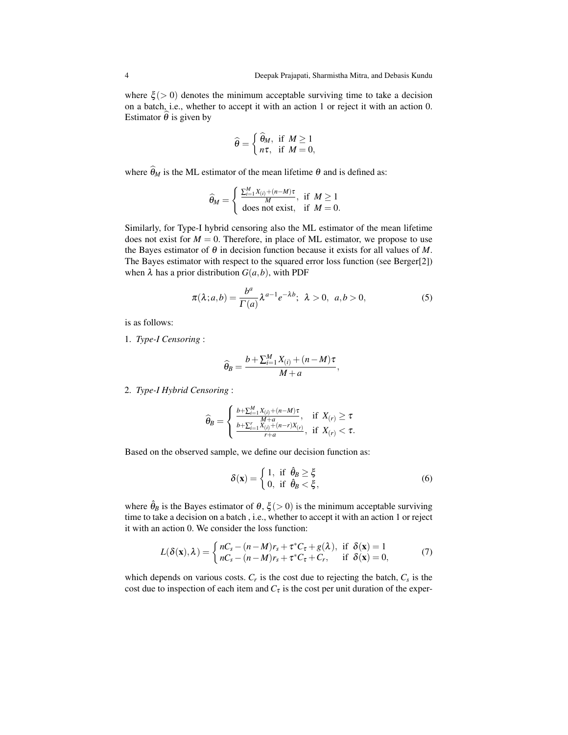where  $\xi$  ( $> 0$ ) denotes the minimum acceptable surviving time to take a decision on a batch, i.e., whether to accept it with an action 1 or reject it with an action 0. Estimator  $\hat{\theta}$  is given by

$$
\widehat{\theta} = \begin{cases} \widehat{\theta}_M, & \text{if } M \ge 1 \\ n\tau, & \text{if } M = 0, \end{cases}
$$

where  $\widehat{\theta}_M$  is the ML estimator of the mean lifetime  $\theta$  and is defined as:

$$
\widehat{\theta}_M = \begin{cases} \frac{\sum_{i=1}^M X_{(i)} + (n-M)\tau}{M}, & \text{if } M \ge 1\\ \text{does not exist}, & \text{if } M = 0. \end{cases}
$$

Similarly, for Type-I hybrid censoring also the ML estimator of the mean lifetime does not exist for  $M = 0$ . Therefore, in place of ML estimator, we propose to use the Bayes estimator of θ in decision function because it exists for all values of *M*. The Bayes estimator with respect to the squared error loss function (see Berger[2]) when  $\lambda$  has a prior distribution  $G(a, b)$ , with PDF

$$
\pi(\lambda; a, b) = \frac{b^a}{\Gamma(a)} \lambda^{a-1} e^{-\lambda b}; \ \lambda > 0, \ a, b > 0,
$$
 (5)

is as follows:

1. *Type-I Censoring* :

$$
\widehat{\theta}_B = \frac{b + \sum_{i=1}^M X_{(i)} + (n - M)\tau}{M + a},
$$

2. *Type-I Hybrid Censoring* :

$$
\widehat{\theta}_B = \left\{ \begin{array}{ll} \frac{b + \sum_{i=1}^M X_{(i)} + (n-M)\tau}{M+a}, & \text{if} \ \ X_{(r)} \geq \tau \\ \frac{b + \sum_{i=1}^r X_{(i)} + (n-r)X_{(r)}}{r+a}, & \text{if} \ \ X_{(r)} < \tau. \end{array} \right.
$$

Based on the observed sample, we define our decision function as:

$$
\delta(\mathbf{x}) = \begin{cases} 1, & \text{if } \hat{\theta}_B \ge \xi \\ 0, & \text{if } \hat{\theta}_B < \xi, \end{cases}
$$
 (6)

where  $\hat{\theta}_B$  is the Bayes estimator of  $\theta$ ,  $\xi$  (> 0) is the minimum acceptable surviving time to take a decision on a batch , i.e., whether to accept it with an action 1 or reject it with an action 0. We consider the loss function:

$$
L(\delta(\mathbf{x}), \lambda) = \begin{cases} nC_s - (n-M)r_s + \tau^* C_\tau + g(\lambda), & \text{if } \delta(\mathbf{x}) = 1\\ nC_s - (n-M)r_s + \tau^* C_\tau + C_r, & \text{if } \delta(\mathbf{x}) = 0, \end{cases}
$$
(7)

which depends on various costs.  $C_r$  is the cost due to rejecting the batch,  $C_s$  is the cost due to inspection of each item and  $C<sub>\tau</sub>$  is the cost per unit duration of the exper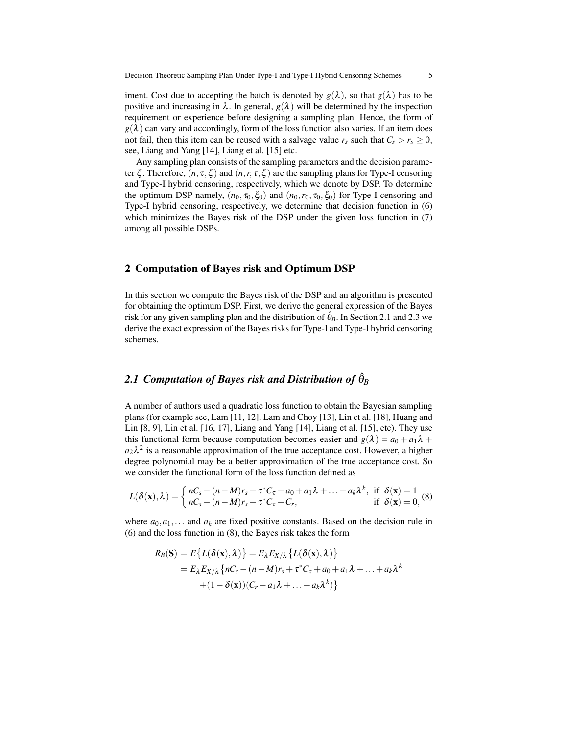iment. Cost due to accepting the batch is denoted by  $g(\lambda)$ , so that  $g(\lambda)$  has to be positive and increasing in  $\lambda$ . In general,  $g(\lambda)$  will be determined by the inspection requirement or experience before designing a sampling plan. Hence, the form of  $g(\lambda)$  can vary and accordingly, form of the loss function also varies. If an item does not fail, then this item can be reused with a salvage value  $r_s$  such that  $C_s > r_s \geq 0$ , see, Liang and Yang [14], Liang et al. [15] etc.

Any sampling plan consists of the sampling parameters and the decision parameter  $\xi$ . Therefore,  $(n, \tau, \xi)$  and  $(n, r, \tau, \xi)$  are the sampling plans for Type-I censoring and Type-I hybrid censoring, respectively, which we denote by DSP. To determine the optimum DSP namely,  $(n_0, \tau_0, \xi_0)$  and  $(n_0, r_0, \tau_0, \xi_0)$  for Type-I censoring and Type-I hybrid censoring, respectively, we determine that decision function in (6) which minimizes the Bayes risk of the DSP under the given loss function in (7) among all possible DSPs.

## 2 Computation of Bayes risk and Optimum DSP

In this section we compute the Bayes risk of the DSP and an algorithm is presented for obtaining the optimum DSP. First, we derive the general expression of the Bayes risk for any given sampling plan and the distribution of  $\hat{\theta}_B$ . In Section 2.1 and 2.3 we derive the exact expression of the Bayes risks for Type-I and Type-I hybrid censoring schemes.

# $2.1$  Computation of Bayes risk and Distribution of  $\hat{\theta}_B$

A number of authors used a quadratic loss function to obtain the Bayesian sampling plans (for example see, Lam [11, 12], Lam and Choy [13], Lin et al. [18], Huang and Lin [8, 9], Lin et al. [16, 17], Liang and Yang [14], Liang et al. [15], etc). They use this functional form because computation becomes easier and  $g(\lambda) = a_0 + a_1\lambda +$  $a_2\lambda^2$  is a reasonable approximation of the true acceptance cost. However, a higher degree polynomial may be a better approximation of the true acceptance cost. So we consider the functional form of the loss function defined as

$$
L(\delta(\mathbf{x}),\lambda) = \begin{cases} nC_s - (n-M)r_s + \tau^* C_\tau + a_0 + a_1 \lambda + \ldots + a_k \lambda^k, & \text{if } \delta(\mathbf{x}) = 1\\ nC_s - (n-M)r_s + \tau^* C_\tau + C_r, & \text{if } \delta(\mathbf{x}) = 0, \end{cases}
$$

where  $a_0, a_1, \ldots$  and  $a_k$  are fixed positive constants. Based on the decision rule in (6) and the loss function in (8), the Bayes risk takes the form

$$
R_B(S) = E\{L(\delta(\mathbf{x}), \lambda)\} = E_{\lambda} E_{X/\lambda} \{L(\delta(\mathbf{x}), \lambda)\}
$$
  
=  $E_{\lambda} E_{X/\lambda} \{nC_s - (n - M)r_s + \tau^* C_{\tau} + a_0 + a_1 \lambda + ... + a_k \lambda^k + (1 - \delta(\mathbf{x})) (C_r - a_1 \lambda + ... + a_k \lambda^k)\}$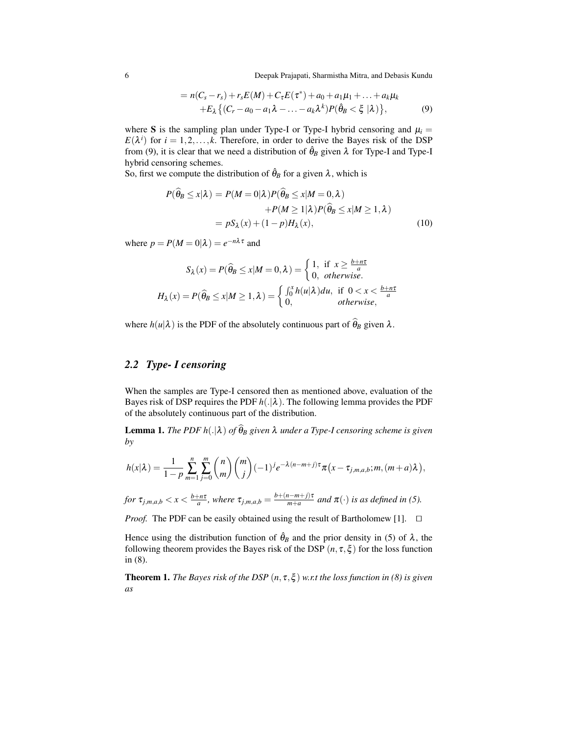6 Deepak Prajapati, Sharmistha Mitra, and Debasis Kundu

$$
= n(Cs - rs) + rsE(M) + CτE(\tau*) + a0 + a1μ1 + ... + akμk+ Eλ { (Cr - a0 - a1λ - ... - akλk)P( $\hat{\theta}$ <sub>B</sub> <  $\xi$  |λ)}, (9)
$$

where S is the sampling plan under Type-I or Type-I hybrid censoring and  $\mu_i =$  $E(\lambda^i)$  for  $i = 1, 2, \dots, k$ . Therefore, in order to derive the Bayes risk of the DSP from (9), it is clear that we need a distribution of  $\hat{\theta}_B$  given  $\lambda$  for Type-I and Type-I hybrid censoring schemes.

So, first we compute the distribution of  $\hat{\theta}_B$  for a given  $\lambda$ , which is

$$
P(\widehat{\theta}_B \le x | \lambda) = P(M = 0 | \lambda) P(\widehat{\theta}_B \le x | M = 0, \lambda)
$$
  
+
$$
P(M \ge 1 | \lambda) P(\widehat{\theta}_B \le x | M \ge 1, \lambda)
$$
  
= 
$$
pS_{\lambda}(x) + (1 - p)H_{\lambda}(x),
$$
 (10)

where  $p = P(M = 0|\lambda) = e^{-n\lambda \tau}$  and

$$
S_{\lambda}(x) = P(\widehat{\theta}_{B} \le x | M = 0, \lambda) = \begin{cases} 1, & \text{if } x \ge \frac{b+n\tau}{a} \\ 0, & \text{otherwise.} \end{cases}
$$

$$
H_{\lambda}(x) = P(\widehat{\theta}_{B} \le x | M \ge 1, \lambda) = \begin{cases} \int_{0}^{x} h(u|\lambda) du, & \text{if } 0 < x < \frac{b+n\tau}{a} \\ 0, & \text{otherwise,} \end{cases}
$$

where  $h(u|\lambda)$  is the PDF of the absolutely continuous part of  $\hat{\theta}_B$  given  $\lambda$ .

# *2.2 Type- I censoring*

When the samples are Type-I censored then as mentioned above, evaluation of the Bayes risk of DSP requires the PDF  $h(.|\lambda)$ . The following lemma provides the PDF of the absolutely continuous part of the distribution.

**Lemma 1.** *The PDF h*(. $|\lambda)$  *of*  $\widehat{\theta}_B$  *given*  $\lambda$  *under a Type-I censoring scheme is given by*

$$
h(x|\lambda) = \frac{1}{1-p} \sum_{m=1}^{n} \sum_{j=0}^{m} {n \choose m} {m \choose j} (-1)^{j} e^{-\lambda(n-m+j)\tau} \pi(x - \tau_{j,m,a,b}; m, (m+a)\lambda),
$$

for 
$$
\tau_{j,m,a,b} < x < \frac{b+n\tau}{a}
$$
, where  $\tau_{j,m,a,b} = \frac{b+(n-m+j)\tau}{m+a}$  and  $\pi(\cdot)$  is as defined in (5).

*Proof.* The PDF can be easily obtained using the result of Bartholomew [1].  $\square$ 

Hence using the distribution function of  $\hat{\theta}_B$  and the prior density in (5) of  $\lambda$ , the following theorem provides the Bayes risk of the DSP  $(n, \tau, \xi)$  for the loss function in (8).

Theorem 1. *The Bayes risk of the DSP* (*n*, τ,ξ ) *w.r.t the loss function in (8) is given as*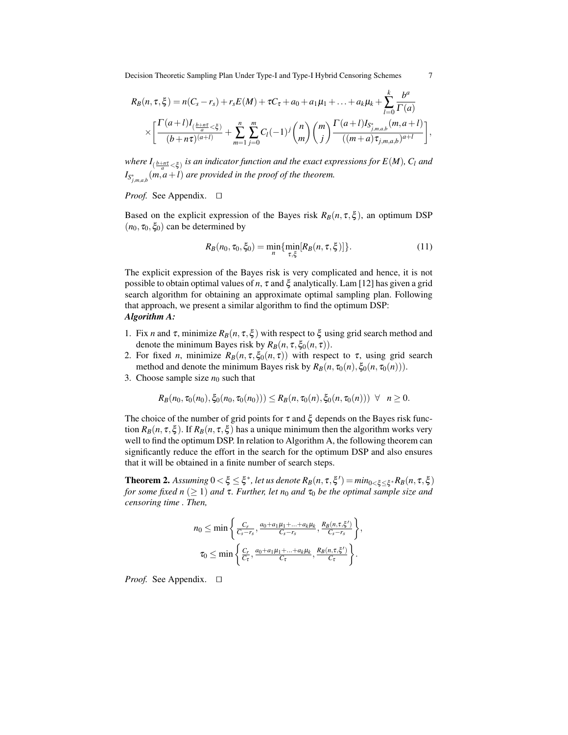Decision Theoretic Sampling Plan Under Type-I and Type-I Hybrid Censoring Schemes 7

$$
R_B(n, \tau, \xi) = n(C_s - r_s) + r_s E(M) + \tau C_{\tau} + a_0 + a_1 \mu_1 + \dots + a_k \mu_k + \sum_{l=0}^k \frac{b^a}{\Gamma(a)}
$$
  
 
$$
\times \left[ \frac{\Gamma(a+l)I_{(\frac{b+n\tau}{a}} < \xi)}{(b+n\tau)^{(a+l)}} + \sum_{m=1}^n \sum_{j=0}^m C_l (-1)^j \binom{n}{m} \binom{m}{j} \frac{\Gamma(a+l)I_{S^*_{j,m,a,b}}(m, a+l)}{((m+a)\tau_{j,m,a,b})^{a+l}} \right],
$$

where  $I_{(\frac{b+n\tau}{a}<\xi)}$  is an indicator function and the exact expressions for  $E(M)$ ,  $C_l$  and  $I_{S_{j,m,a,b}^*}(m,a+l)$  *are provided in the proof of the theorem.* 

#### *Proof.* See Appendix.  $\square$

Based on the explicit expression of the Bayes risk  $R_B(n, \tau, \xi)$ , an optimum DSP  $(n_0, \tau_0, \xi_0)$  can be determined by

$$
R_B(n_0, \tau_0, \xi_0) = \min_{n} \{ \min_{\tau, \xi} [R_B(n, \tau, \xi)] \}.
$$
 (11)

The explicit expression of the Bayes risk is very complicated and hence, it is not possible to obtain optimal values of *n*,  $\tau$  and  $\xi$  analytically. Lam [12] has given a grid search algorithm for obtaining an approximate optimal sampling plan. Following that approach, we present a similar algorithm to find the optimum DSP: *Algorithm A:*

- 1. Fix *n* and  $\tau$ , minimize  $R_B(n, \tau, \xi)$  with respect to  $\xi$  using grid search method and denote the minimum Bayes risk by  $R_B(n, \tau, \xi_0(n, \tau))$ .
- 2. For fixed *n*, minimize  $R_B(n, \tau, \xi_0(n, \tau))$  with respect to  $\tau$ , using grid search method and denote the minimum Bayes risk by  $R_B(n, \tau_0(n), \xi_0(n, \tau_0(n)))$ .
- 3. Choose sample size  $n_0$  such that

$$
R_B(n_0, \tau_0(n_0), \xi_0(n_0, \tau_0(n_0))) \leq R_B(n, \tau_0(n), \xi_0(n, \tau_0(n))) \ \forall \ n \geq 0.
$$

The choice of the number of grid points for  $\tau$  and  $\xi$  depends on the Bayes risk function  $R_B(n, \tau, \xi)$ . If  $R_B(n, \tau, \xi)$  has a unique minimum then the algorithm works very well to find the optimum DSP. In relation to Algorithm A, the following theorem can significantly reduce the effort in the search for the optimum DSP and also ensures that it will be obtained in a finite number of search steps.

 $\bf{Theorem 2.}$  *Assuming*  $0 < \xi \leq \xi^*$ , let us denote  $R_B(n, \tau, \xi') = min_{0 < \xi \leq \xi^*} R_B(n, \tau, \xi)$ *for some fixed n* ( $\geq$  1) *and* **τ***. Further, let n*<sub>0</sub> *and* **τ**<sub>0</sub> *be the optimal sample size and censoring time . Then,*

$$
n_0 \le \min\left\{\frac{C_r}{C_s - r_s}, \frac{a_0 + a_1\mu_1 + \dots + a_k\mu_k}{C_s - r_s}, \frac{R_B(n, \tau, \xi')}{C_s - r_s}\right\},\
$$
  

$$
\tau_0 \le \min\left\{\frac{C_r}{C_\tau}, \frac{a_0 + a_1\mu_1 + \dots + a_k\mu_k}{C_\tau}, \frac{R_B(n, \tau, \xi')}{C_\tau}\right\}.
$$

*Proof.* See Appendix.  $\square$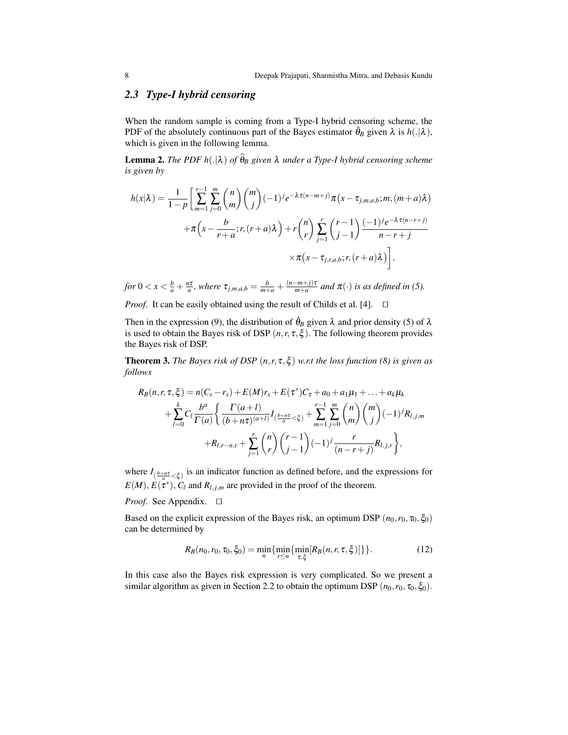# *2.3 Type-I hybrid censoring*

When the random sample is coming from a Type-I hybrid censoring scheme, the PDF of the absolutely continuous part of the Bayes estimator  $\hat{\theta}_B$  given  $\lambda$  is  $h(.|\lambda)$ , which is given in the following lemma.

**Lemma 2.** *The PDF h*(. $|\lambda)$  *of*  $\widehat{\theta}_B$  *given*  $\lambda$  *under a Type-I hybrid censoring scheme is given by*

$$
h(x|\lambda) = \frac{1}{1-p} \left[ \sum_{m=1}^{r-1} \sum_{j=0}^{m} {n \choose m} {m \choose j} (-1)^j e^{-\lambda \tau (n-m+j)} \pi(x - \tau_{j,m,a,b}; m, (m+a)\lambda) + \pi \left( x - \frac{b}{r+a}; r, (r+a)\lambda \right) + r {n \choose r} \sum_{j=1}^{r} {r-1 \choose j-1} \frac{(-1)^j e^{-\lambda \tau (n-r+j)}}{n-r+j} \times \pi(x - \tau_{j,r,a,b}; r, (r+a)\lambda) \right],
$$

for  $0 < x < \frac{b}{a} + \frac{n\tau}{a}$ , where  $\tau_{j,m,a,b} = \frac{b}{m+a} + \frac{(n-m+j)\tau}{m+a}$  and  $\pi(\cdot)$  is as defined in (5).

*Proof.* It can be easily obtained using the result of Childs et al. [4].  $\Box$ 

Then in the expression (9), the distribution of  $\hat{\theta}_B$  given  $\lambda$  and prior density (5) of  $\lambda$ is used to obtain the Bayes risk of DSP  $(n, r, \tau, \xi)$ . The following theorem provides the Bayes risk of DSP.

**Theorem 3.** *The Bayes risk of DSP*  $(n, r, \tau, \xi)$  *w.r.t the loss function* (8) *is given as follows*

$$
R_B(n, r, \tau, \xi) = n(C_s - r_s) + E(M)r_s + E(\tau^*)C_{\tau} + a_0 + a_1\mu_1 + \dots + a_k\mu_k
$$
  
+ 
$$
\sum_{l=0}^k C_l \frac{b^a}{\Gamma(a)} \left\{ \frac{\Gamma(a+l)}{(b+n\tau)^{(a+l)}} I_{(\frac{b+n\tau}{a} < \xi)} + \sum_{m=1}^{r-1} \sum_{j=0}^m {n \choose m} {m \choose j} (-1)^j R_{l,j,m}
$$
  
+ 
$$
R_{l,r-n,r} + \sum_{j=1}^r {n \choose r} {r-1 \choose j-1} (-1)^j \frac{r}{(n-r+j)} R_{l,j,r} \right\},
$$

where  $I_{(\frac{b+n\tau}{a} < \xi)}$  is an indicator function as defined before, and the expressions for  $E(M)$ ,  $E(\tau^*)$ ,  $C_l$  and  $R_{l,j,m}$  are provided in the proof of the theorem.

#### *Proof.* See Appendix.  $\square$

Based on the explicit expression of the Bayes risk, an optimum DSP  $(n_0, r_0, \tau_0, \xi_0)$ can be determined by

$$
R_B(n_0, r_0, \tau_0, \xi_0) = \min_n \{ \min_{r \le n} \{ \min_{\tau, \xi} [R_B(n, r, \tau, \xi)] \} \}.
$$
 (12)

In this case also the Bayes risk expression is very complicated. So we present a similar algorithm as given in Section 2.2 to obtain the optimum DSP  $(n_0, r_0, \tau_0, \xi_0)$ .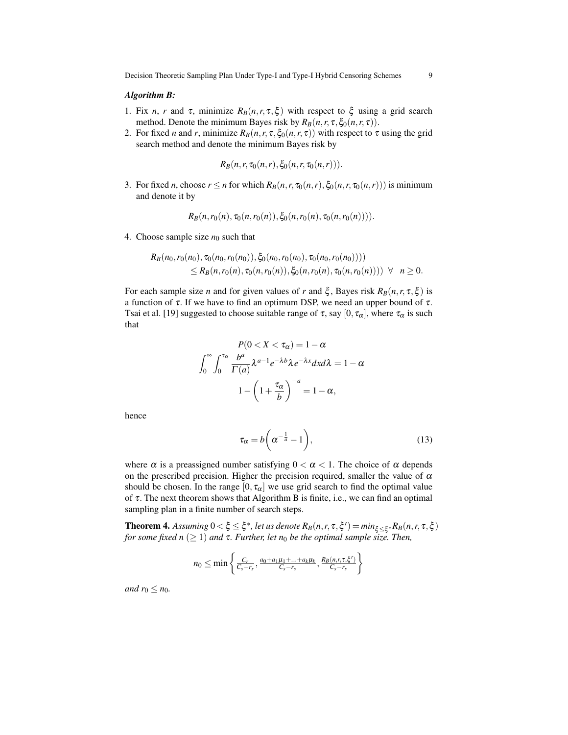#### *Algorithm B:*

- 1. Fix *n*, *r* and τ, minimize  $R_B(n, r, \tau, \xi)$  with respect to  $\xi$  using a grid search method. Denote the minimum Bayes risk by  $R_B(n, r, \tau, \xi_0(n, r, \tau))$ .
- 2. For fixed *n* and *r*, minimize  $R_B(n, r, \tau, \xi_0(n, r, \tau))$  with respect to  $\tau$  using the grid search method and denote the minimum Bayes risk by

$$
R_B(n,r,\tau_0(n,r),\xi_0(n,r,\tau_0(n,r))).
$$

3. For fixed *n*, choose  $r \le n$  for which  $R_B(n, r, \tau_0(n, r), \xi_0(n, r, \tau_0(n, r)))$  is minimum and denote it by

$$
R_B(n, r_0(n), \tau_0(n, r_0(n)), \xi_0(n, r_0(n), \tau_0(n, r_0(n))))
$$

4. Choose sample size  $n_0$  such that

$$
R_B(n_0, r_0(n_0), \tau_0(n_0, r_0(n_0)), \xi_0(n_0, r_0(n_0), \tau_0(n_0, r_0(n_0))))
$$
  
\n
$$
\leq R_B(n, r_0(n), \tau_0(n, r_0(n)), \xi_0(n, r_0(n), \tau_0(n, r_0(n)))) \quad \forall \quad n \geq 0.
$$

For each sample size *n* and for given values of *r* and  $\xi$ , Bayes risk  $R_B(n, r, \tau, \xi)$  is a function of  $\tau$ . If we have to find an optimum DSP, we need an upper bound of  $\tau$ . Tsai et al. [19] suggested to choose suitable range of  $\tau$ , say  $[0, \tau_{\alpha}]$ , where  $\tau_{\alpha}$  is such that

$$
P(0 < X < \tau_{\alpha}) = 1 - \alpha
$$
\n
$$
\int_0^\infty \int_0^{\tau_{\alpha}} \frac{b^a}{\Gamma(a)} \lambda^{a-1} e^{-\lambda b} \lambda e^{-\lambda x} dx d\lambda = 1 - \alpha
$$
\n
$$
1 - \left(1 + \frac{\tau_{\alpha}}{b}\right)^{-a} = 1 - \alpha,
$$

hence

$$
\tau_{\alpha} = b\bigg(\alpha^{-\frac{1}{a}} - 1\bigg),\tag{13}
$$

where  $\alpha$  is a preassigned number satisfying  $0 < \alpha < 1$ . The choice of  $\alpha$  depends on the prescribed precision. Higher the precision required, smaller the value of  $\alpha$ should be chosen. In the range  $[0, \tau_{\alpha}]$  we use grid search to find the optimal value of τ. The next theorem shows that Algorithm B is finite, i.e., we can find an optimal sampling plan in a finite number of search steps.

 $\bf{Theorem 4.}$  *Assuming*  $0 < \xi \leq \xi^*$ , let us denote  $R_B(n, r, \tau, \xi') = min_{\xi \leq \xi^*} R_B(n, r, \tau, \xi)$ *for some fixed n* ( $\geq$  1) *and*  $\tau$ *. Further, let n<sub>0</sub> be the optimal sample size. Then,* 

$$
n_0 \le \min \left\{ \frac{C_r}{C_s - r_s}, \frac{a_0 + a_1 \mu_1 + \dots + a_k \mu_k}{C_s - r_s}, \frac{R_B(n, r, \tau, \xi')}{C_s - r_s} \right\}
$$

*and*  $r_0 \leq n_0$ *.*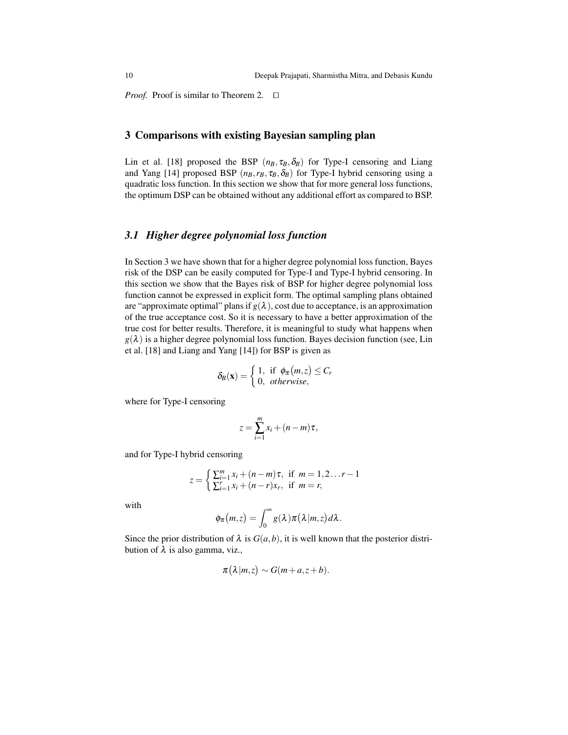*Proof.* Proof is similar to Theorem 2.  $\Box$ 

### 3 Comparisons with existing Bayesian sampling plan

Lin et al. [18] proposed the BSP  $(n_B, \tau_B, \delta_B)$  for Type-I censoring and Liang and Yang [14] proposed BSP  $(n_B, r_B, \tau_B, \delta_B)$  for Type-I hybrid censoring using a quadratic loss function. In this section we show that for more general loss functions, the optimum DSP can be obtained without any additional effort as compared to BSP.

### *3.1 Higher degree polynomial loss function*

In Section 3 we have shown that for a higher degree polynomial loss function, Bayes risk of the DSP can be easily computed for Type-I and Type-I hybrid censoring. In this section we show that the Bayes risk of BSP for higher degree polynomial loss function cannot be expressed in explicit form. The optimal sampling plans obtained are "approximate optimal" plans if  $g(\lambda)$ , cost due to acceptance, is an approximation of the true acceptance cost. So it is necessary to have a better approximation of the true cost for better results. Therefore, it is meaningful to study what happens when  $g(\lambda)$  is a higher degree polynomial loss function. Bayes decision function (see, Lin et al. [18] and Liang and Yang [14]) for BSP is given as

$$
\delta_B(\mathbf{x}) = \begin{cases} 1, & \text{if } \phi_\pi(m,z) \leq C_r \\ 0, & \text{otherwise,} \end{cases}
$$

where for Type-I censoring

$$
z=\sum_{i=1}^m x_i+(n-m)\tau,
$$

and for Type-I hybrid censoring

$$
z = \begin{cases} \sum_{i=1}^{m} x_i + (n-m)\tau, & \text{if } m = 1, 2...r - 1\\ \sum_{i=1}^{r} x_i + (n-r)x_r, & \text{if } m = r, \end{cases}
$$

with

$$
\phi_{\pi}(m,z)=\int_0^{\infty}g(\lambda)\pi(\lambda|m,z)d\lambda.
$$

Since the prior distribution of  $\lambda$  is  $G(a, b)$ , it is well known that the posterior distribution of  $λ$  is also gamma, viz.,

$$
\pi(\lambda|m,z) \sim G(m+a,z+b).
$$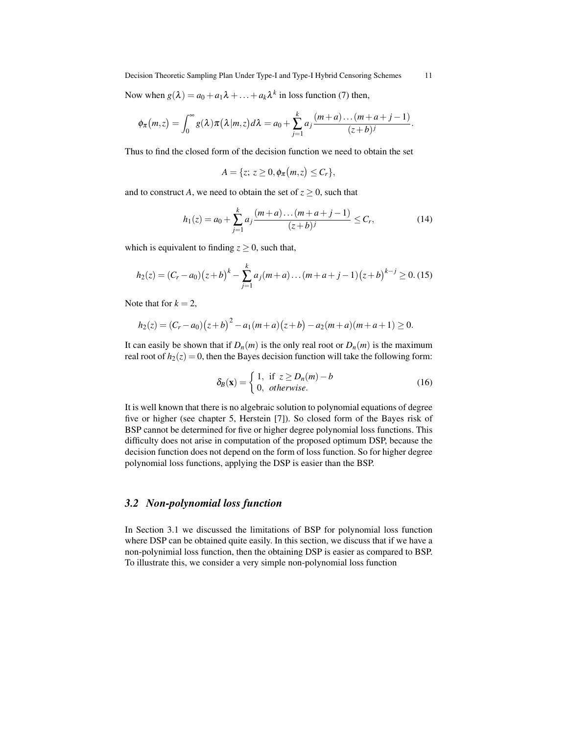Now when  $g(\lambda) = a_0 + a_1 \lambda + \ldots + a_k \lambda^k$  in loss function (7) then,

$$
\phi_{\pi}(m,z)=\int_0^{\infty}g(\lambda)\pi(\lambda|m,z)d\lambda=a_0+\sum_{j=1}^k a_j\frac{(m+a)\dots(m+a+j-1)}{(z+b)^j}.
$$

Thus to find the closed form of the decision function we need to obtain the set

$$
A = \{z; z \geq 0, \phi_{\pi}(m, z) \leq C_r\},\
$$

and to construct *A*, we need to obtain the set of  $z \geq 0$ , such that

$$
h_1(z) = a_0 + \sum_{j=1}^{k} a_j \frac{(m+a)\dots(m+a+j-1)}{(z+b)^j} \le C_r,
$$
 (14)

which is equivalent to finding  $z \geq 0$ , such that,

$$
h_2(z) = (C_r - a_0)(z+b)^k - \sum_{j=1}^k a_j(m+a) \dots (m+a+j-1)(z+b)^{k-j} \ge 0.
$$
 (15)

Note that for  $k = 2$ ,

$$
h_2(z) = (C_r - a_0)(z+b)^2 - a_1(m+a)(z+b) - a_2(m+a)(m+a+1) \ge 0.
$$

It can easily be shown that if  $D_n(m)$  is the only real root or  $D_n(m)$  is the maximum real root of  $h_2(z) = 0$ , then the Bayes decision function will take the following form:

$$
\delta_B(\mathbf{x}) = \begin{cases} 1, & \text{if } z \ge D_n(m) - b \\ 0, & \text{otherwise.} \end{cases}
$$
 (16)

It is well known that there is no algebraic solution to polynomial equations of degree five or higher (see chapter 5, Herstein [7]). So closed form of the Bayes risk of BSP cannot be determined for five or higher degree polynomial loss functions. This difficulty does not arise in computation of the proposed optimum DSP, because the decision function does not depend on the form of loss function. So for higher degree polynomial loss functions, applying the DSP is easier than the BSP.

## *3.2 Non-polynomial loss function*

In Section 3.1 we discussed the limitations of BSP for polynomial loss function where DSP can be obtained quite easily. In this section, we discuss that if we have a non-polynimial loss function, then the obtaining DSP is easier as compared to BSP. To illustrate this, we consider a very simple non-polynomial loss function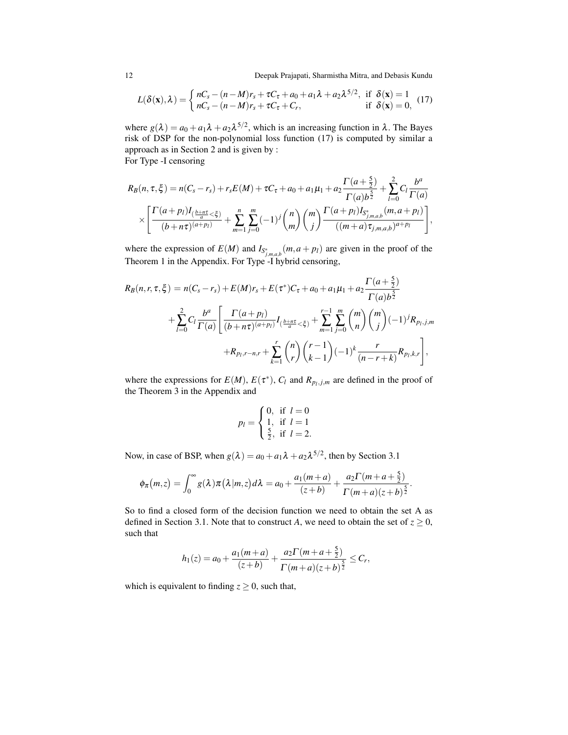12 Deepak Prajapati, Sharmistha Mitra, and Debasis Kundu

$$
L(\delta(\mathbf{x}), \lambda) = \begin{cases} nC_s - (n-M)r_s + \tau C_\tau + a_0 + a_1 \lambda + a_2 \lambda^{5/2}, & \text{if } \delta(\mathbf{x}) = 1\\ nC_s - (n-M)r_s + \tau C_\tau + C_r, & \text{if } \delta(\mathbf{x}) = 0, \end{cases}
$$
(17)

where  $g(\lambda) = a_0 + a_1 \lambda + a_2 \lambda^{5/2}$ , which is an increasing function in  $\lambda$ . The Bayes risk of DSP for the non-polynomial loss function (17) is computed by similar a approach as in Section 2 and is given by :

For Type -I censoring

$$
R_B(n, \tau, \xi) = n(C_s - r_s) + r_s E(M) + \tau C_\tau + a_0 + a_1 \mu_1 + a_2 \frac{\Gamma(a + \frac{5}{2})}{\Gamma(a)b^{\frac{5}{2}}} + \sum_{l=0}^2 C_l \frac{b^a}{\Gamma(a)}
$$
  
 
$$
\times \left[ \frac{\Gamma(a + p_l)I_{(\frac{b + n\tau}{a} < \xi)}}{(b + n\tau)^{(a + p_l)}} + \sum_{m=1}^n \sum_{j=0}^m (-1)^j \binom{n}{m} \binom{m}{j} \frac{\Gamma(a + p_l)I_{S^*_{j,m,a,b}}(m, a + p_l)}{(m + a)\tau_{j,m,a,b})^{a + p_l}} \right],
$$

where the expression of  $E(M)$  and  $I_{S^*_{j,m,a,b}}(m,a+p_l)$  are given in the proof of the Theorem 1 in the Appendix. For Type -I hybrid censoring,

$$
R_B(n, r, \tau, \xi) = n(C_s - r_s) + E(M)r_s + E(\tau^*)C_{\tau} + a_0 + a_1\mu_1 + a_2 \frac{\Gamma(a + \frac{5}{2})}{\Gamma(a)b^{\frac{5}{2}}} + \sum_{l=0}^{2} C_l \frac{b^a}{\Gamma(a)} \left[ \frac{\Gamma(a + p_l)}{(b + n\tau)^{(a + p_l)}} I_{(\frac{b + n\tau}{a} < \xi)} + \sum_{m=1}^{r-1} \sum_{j=0}^{m} {m \choose n} {m \choose j} (-1)^j R_{p_l, j, m} + R_{p_l, r-n, r} + \sum_{k=1}^{r} {n \choose r} {r-1 \choose k-1} (-1)^k \frac{r}{(n-r+k)} R_{p_l, k, r} \right],
$$

where the expressions for  $E(M)$ ,  $E(\tau^*)$ ,  $C_l$  and  $R_{p_l,j,m}$  are defined in the proof of the Theorem 3 in the Appendix and

$$
p_l = \begin{cases} 0, & \text{if } l = 0 \\ 1, & \text{if } l = 1 \\ \frac{5}{2}, & \text{if } l = 2. \end{cases}
$$

Now, in case of BSP, when  $g(\lambda) = a_0 + a_1 \lambda + a_2 \lambda^{5/2}$ , then by Section 3.1

$$
\phi_{\pi}(m,z)=\int_0^{\infty}g(\lambda)\pi(\lambda|m,z)d\lambda=a_0+\frac{a_1(m+a)}{(z+b)}+\frac{a_2\Gamma(m+a+\frac{5}{2})}{\Gamma(m+a)(z+b)^{\frac{5}{2}}}.
$$

So to find a closed form of the decision function we need to obtain the set A as defined in Section 3.1. Note that to construct *A*, we need to obtain the set of  $z \ge 0$ , such that

$$
h_1(z) = a_0 + \frac{a_1(m+a)}{(z+b)} + \frac{a_2\Gamma(m+a+\frac{5}{2})}{\Gamma(m+a)(z+b)^{\frac{5}{2}}} \leq C_r,
$$

which is equivalent to finding  $z \ge 0$ , such that,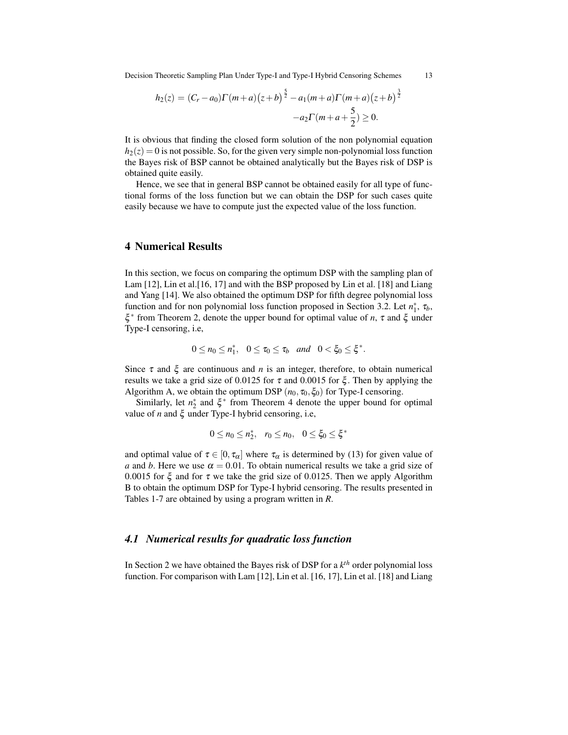Decision Theoretic Sampling Plan Under Type-I and Type-I Hybrid Censoring Schemes 13

$$
h_2(z) = (C_r - a_0)\Gamma(m+a)\left(z+b\right)^{\frac{5}{2}} - a_1(m+a)\Gamma(m+a)\left(z+b\right)^{\frac{3}{2}} - a_2\Gamma(m+a+\frac{5}{2}) \ge 0.
$$

It is obvious that finding the closed form solution of the non polynomial equation  $h_2(z) = 0$  is not possible. So, for the given very simple non-polynomial loss function the Bayes risk of BSP cannot be obtained analytically but the Bayes risk of DSP is obtained quite easily.

Hence, we see that in general BSP cannot be obtained easily for all type of functional forms of the loss function but we can obtain the DSP for such cases quite easily because we have to compute just the expected value of the loss function.

### 4 Numerical Results

In this section, we focus on comparing the optimum DSP with the sampling plan of Lam [12], Lin et al.[16, 17] and with the BSP proposed by Lin et al. [18] and Liang and Yang [14]. We also obtained the optimum DSP for fifth degree polynomial loss function and for non polynomial loss function proposed in Section 3.2. Let  $n_1^*$ ,  $\tau_b$ , ξ ∗ from Theorem 2, denote the upper bound for optimal value of *n*, τ and ξ under Type-I censoring, i.e,

$$
0\leq n_0\leq n_1^*,\quad 0\leq \tau_0\leq \tau_b\quad and\quad 0<\xi_0\leq \xi^*.
$$

Since  $\tau$  and  $\xi$  are continuous and *n* is an integer, therefore, to obtain numerical results we take a grid size of 0.0125 for  $\tau$  and 0.0015 for  $\xi$ . Then by applying the Algorithm A, we obtain the optimum DSP  $(n_0, \tau_0, \xi_0)$  for Type-I censoring.

Similarly, let  $n_2^*$  and  $\xi^*$  from Theorem 4 denote the upper bound for optimal value of *n* and ξ under Type-I hybrid censoring, i.e,

$$
0 \le n_0 \le n_2^*, \quad r_0 \le n_0, \quad 0 \le \xi_0 \le \xi^*
$$

and optimal value of  $\tau \in [0, \tau_{\alpha}]$  where  $\tau_{\alpha}$  is determined by (13) for given value of *a* and *b*. Here we use  $\alpha = 0.01$ . To obtain numerical results we take a grid size of 0.0015 for  $\xi$  and for  $\tau$  we take the grid size of 0.0125. Then we apply Algorithm B to obtain the optimum DSP for Type-I hybrid censoring. The results presented in Tables 1-7 are obtained by using a program written in *R*.

#### *4.1 Numerical results for quadratic loss function*

In Section 2 we have obtained the Bayes risk of DSP for a *k th* order polynomial loss function. For comparison with Lam [12], Lin et al. [16, 17], Lin et al. [18] and Liang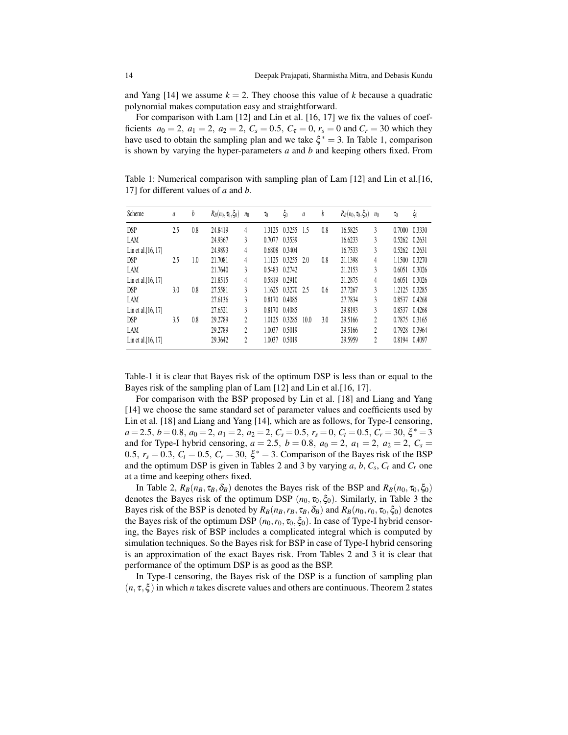and Yang [14] we assume  $k = 2$ . They choose this value of k because a quadratic polynomial makes computation easy and straightforward.

For comparison with Lam [12] and Lin et al. [16, 17] we fix the values of coefficients  $a_0 = 2$ ,  $a_1 = 2$ ,  $a_2 = 2$ ,  $C_s = 0.5$ ,  $C_\tau = 0$ ,  $r_s = 0$  and  $C_r = 30$  which they have used to obtain the sampling plan and we take  $\xi^* = 3$ . In Table 1, comparison is shown by varying the hyper-parameters *a* and *b* and keeping others fixed. From

Table 1: Numerical comparison with sampling plan of Lam [12] and Lin et al.[16, 17] for different values of *a* and *b*.

| Scheme                | a   | b   | $R_B(n_0, \tau_0, \zeta_0)$ | n <sub>0</sub> | $\tau_0$ | $\xi_0$ | $\mathfrak a$ | b   | $R_B(n_0, \tau_0, \xi_0)$ | n <sub>0</sub>            | $\tau_0$      | $\xi_0$ |
|-----------------------|-----|-----|-----------------------------|----------------|----------|---------|---------------|-----|---------------------------|---------------------------|---------------|---------|
| <b>DSP</b>            | 2.5 | 0.8 | 24.8419                     | 4              | 1.3125   | 0.3255  | -1.5          | 0.8 | 16.5825                   | 3                         | 0.7000        | 0.3330  |
| LAM                   |     |     | 24.9367                     | 3              | 0.7077   | 0.3539  |               |     | 16.6233                   | 3                         | 0.5262        | 0.2631  |
| Lin et al. $[16, 17]$ |     |     | 24.9893                     | 4              | 0.6808   | 0.3404  |               |     | 16.7533                   | 3                         | 0.5262 0.2631 |         |
| <b>DSP</b>            | 2.5 | 1.0 | 21.7081                     | 4              | 1.1125   | 0.3255  | 2.0           | 0.8 | 21.1398                   | 4                         | 1.1500        | 0.3270  |
| LAM                   |     |     | 21.7640                     | 3              | 0.5483   | 0.2742  |               |     | 21.2153                   | 3                         | 0.6051        | 0.3026  |
| Lin et al. $[16, 17]$ |     |     | 21.8515                     | 4              | 0.5819   | 0.2910  |               |     | 21.2875                   | 4                         | 0.6051        | 0.3026  |
| <b>DSP</b>            | 3.0 | 0.8 | 27.5581                     | 3              | 1.1625   | 0.3270  | 25            | 0.6 | 27.7267                   | 3                         | 1.2125        | 0.3285  |
| LAM                   |     |     | 27.6136                     | 3              | 0.8170   | 0.4085  |               |     | 27.7834                   | 3                         | 0.8537        | 0.4268  |
| Lin et al. $[16, 17]$ |     |     | 27.6521                     | 3              | 0.8170   | 0.4085  |               |     | 29.8193                   | 3                         | 0.8537        | 0.4268  |
| <b>DSP</b>            | 3.5 | 0.8 | 29.2789                     | 2              | 1.0125   | 0.3285  | 10.0          | 3.0 | 29.5166                   | $\overline{c}$            | 0.7875        | 0.3165  |
| LAM                   |     |     | 29.2789                     | 2              | 1.0037   | 0.5019  |               |     | 29.5166                   | $\overline{c}$            | 0.7928        | 0.3964  |
| Lin et al. $[16, 17]$ |     |     | 29.3642                     | 2              | 1.0037   | 0.5019  |               |     | 29.5959                   | $\overline{\mathfrak{c}}$ | 0.8194        | 0.4097  |

Table-1 it is clear that Bayes risk of the optimum DSP is less than or equal to the Bayes risk of the sampling plan of Lam [12] and Lin et al.[16, 17].

For comparison with the BSP proposed by Lin et al. [18] and Liang and Yang [14] we choose the same standard set of parameter values and coefficients used by Lin et al. [18] and Liang and Yang [14], which are as follows, for Type-I censoring, *a* = 2.5, *b* = 0.8, *a*<sup>0</sup> = 2, *a*<sup>1</sup> = 2, *a*<sup>2</sup> = 2, *C<sup>s</sup>* = 0.5, *r<sup>s</sup>* = 0, *C<sup>t</sup>* = 0.5, *C<sup>r</sup>* = 30, ξ <sup>∗</sup> = 3 and for Type-I hybrid censoring,  $a = 2.5$ ,  $b = 0.8$ ,  $a_0 = 2$ ,  $a_1 = 2$ ,  $a_2 = 2$ ,  $C_s =$ 0.5,  $r_s = 0.3$ ,  $C_t = 0.5$ ,  $C_r = 30$ ,  $\xi^* = 3$ . Comparison of the Bayes risk of the BSP and the optimum DSP is given in Tables 2 and 3 by varying  $a, b, C_s, C_t$  and  $C_r$  one at a time and keeping others fixed.

In Table 2,  $R_B(n_B, \tau_B, \delta_B)$  denotes the Bayes risk of the BSP and  $R_B(n_0, \tau_0, \xi_0)$ denotes the Bayes risk of the optimum DSP  $(n_0, \tau_0, \xi_0)$ . Similarly, in Table 3 the Bayes risk of the BSP is denoted by  $R_B(n_B, r_B, \tau_B, \delta_B)$  and  $R_B(n_0, r_0, \tau_0, \xi_0)$  denotes the Bayes risk of the optimum DSP  $(n_0, r_0, \tau_0, \xi_0)$ . In case of Type-I hybrid censoring, the Bayes risk of BSP includes a complicated integral which is computed by simulation techniques. So the Bayes risk for BSP in case of Type-I hybrid censoring is an approximation of the exact Bayes risk. From Tables 2 and 3 it is clear that performance of the optimum DSP is as good as the BSP.

In Type-I censoring, the Bayes risk of the DSP is a function of sampling plan  $(n, \tau, \xi)$  in which *n* takes discrete values and others are continuous. Theorem 2 states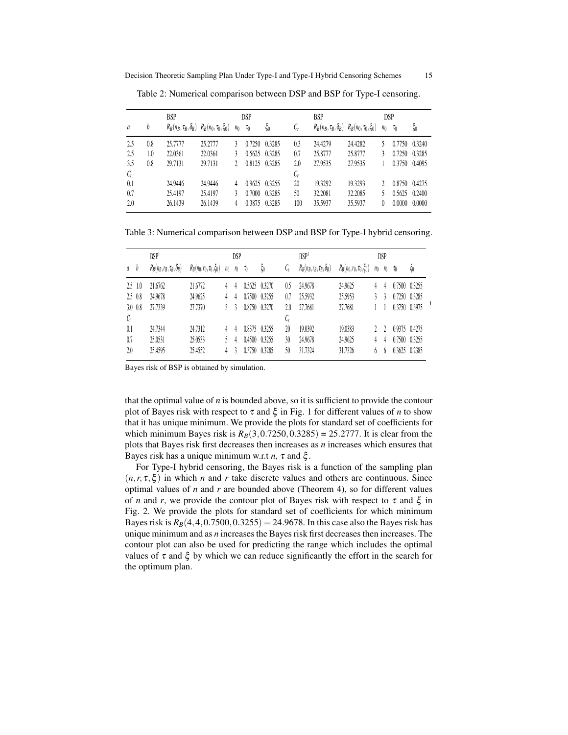|                |     | <b>BSP</b> |                                                        |                | DSP      |                   |                 | <b>BSP</b>                                             | <b>DSP</b> |                |          |                   |
|----------------|-----|------------|--------------------------------------------------------|----------------|----------|-------------------|-----------------|--------------------------------------------------------|------------|----------------|----------|-------------------|
| $\mathfrak{a}$ | b   |            | $R_B(n_B, \tau_B, \delta_B)$ $R_B(n_0, \tau_0, \xi_0)$ | n <sub>0</sub> | $\tau_0$ | $\xi_0$           | $\mathcal{C}_s$ | $R_B(n_B, \tau_B, \delta_B)$ $R_B(n_0, \tau_0, \xi_0)$ |            | n <sub>0</sub> | $\tau_0$ | $\xi_0$           |
| 2.5            | 0.8 | 25.7777    | 25.2777                                                | $\mathcal{E}$  | 0.7250   | 0.3285            | 0.3             | 24.4279                                                | 24.4282    |                |          | $0.7750$ $0.3240$ |
| 2.5            | 1.0 | 22.0361    | 22.0361                                                |                | 0.5625   | 0.3285            | 0.7             | 25.8777                                                | 25.8777    | 3              | 0.7250   | 0.3285            |
| 3.5            | 0.8 | 29.7131    | 29.7131                                                |                |          | 0.8125 0.3285     | 2.0             | 27.9535                                                | 27.9535    |                | 0.3750   | 0.4095            |
| $C_t$          |     |            |                                                        |                |          |                   | $\mathcal{C}_r$ |                                                        |            |                |          |                   |
| 0.1            |     | 24.9446    | 24.9446                                                | 4              |          | $0.9625$ $0.3255$ | 20              | 19.3292                                                | 19.3293    |                |          | 0.8750 0.4275     |
| 0.7            |     | 25.4197    | 25.4197                                                | 3              | 0.7000   | 0.3285            | 50              | 32.2081                                                | 32.2085    |                | 0.5625   | 0.2400            |
| 2.0            |     | 26.1439    | 26.1439                                                | 4              | 0.3875   | 0.3285            | 100             | 35.5937                                                | 35.5937    | 0              | 0.0000   | 0.0000            |

Table 2: Numerical comparison between DSP and BSP for Type-I censoring.

Table 3: Numerical comparison between DSP and BSP for Type-I hybrid censoring.

|             | <b>BSP</b>                        |                             |                | DSP   |          |                   |                 | BSP <sup>1</sup>                  |                                  |                | DSP   |               |         |  |
|-------------|-----------------------------------|-----------------------------|----------------|-------|----------|-------------------|-----------------|-----------------------------------|----------------------------------|----------------|-------|---------------|---------|--|
| a b         | $R_B(n_B, r_B, \tau_B, \delta_B)$ | $R_B(n_0,r_0,\tau_0,\xi_0)$ | n <sub>0</sub> | $r_0$ | $\tau_0$ | $\zeta_0$         | $\mathcal{C}_s$ | $R_B(n_B, r_B, \tau_B, \delta_B)$ | $R_B(n_0, r_0, \tau_0, \zeta_0)$ | n <sub>0</sub> | $r_0$ | $\tau_0$      | $\xi_0$ |  |
| $2.5 \t1.0$ | 21.6762                           | 21.6772                     |                | 4     |          | $0.5625$ $0.3270$ | 0.5             | 24.9678                           | 24.9625                          | 4              | 4     | 0.7500 0.3255 |         |  |
| $2.5 \t0.8$ | 24.9678                           | 24.9625                     | 4              | 4     |          | 0.7500 0.3255     | 0.7             | 25.5932                           | 25.5953                          | $\mathcal{E}$  | 3     | 0.7250 0.3285 |         |  |
| $3.0 \t0.8$ | 27.7339                           | 27.7370                     |                | 3     | 0.8750   | 0.3270            | 2.0             | 27.7681                           | 27.7681                          |                |       | 0.3750 0.3975 |         |  |
| $C_t$       |                                   |                             |                |       |          |                   | $\mathcal{C}_r$ |                                   |                                  |                |       |               |         |  |
| 0.1         | 24.7344                           | 24.7312                     |                | 4     |          | 0.8375 0.3255     | 20              | 19.0392                           | 19.0383                          |                |       | 0.9375 0.4275 |         |  |
| 0.7         | 25.0531                           | 25.0533                     |                | 4     | 0.4500   | 0.3255            | 30              | 24.9678                           | 24.9625                          | 4              | 4     | 0.7500 0.3255 |         |  |
| 2.0         | 25.4595                           | 25.4552                     | 4              | 3     | 0.3750   | 0.3285            | 50              | 31.7324                           | 31.7326                          | h              | h     | 0.3625        | 0.2385  |  |

Bayes risk of BSP is obtained by simulation.

that the optimal value of *n* is bounded above, so it is sufficient to provide the contour plot of Bayes risk with respect to  $\tau$  and  $\xi$  in Fig. 1 for different values of *n* to show that it has unique minimum. We provide the plots for standard set of coefficients for which minimum Bayes risk is  $R_B(3, 0.7250, 0.3285) = 25.2777$ . It is clear from the plots that Bayes risk first decreases then increases as *n* increases which ensures that Bayes risk has a unique minimum w.r.t *n*,  $\tau$  and  $\xi$ .

For Type-I hybrid censoring, the Bayes risk is a function of the sampling plan  $(n, r, \tau, \xi)$  in which *n* and *r* take discrete values and others are continuous. Since optimal values of *n* and *r* are bounded above (Theorem 4), so for different values of *n* and *r*, we provide the contour plot of Bayes risk with respect to  $\tau$  and  $\xi$  in Fig. 2. We provide the plots for standard set of coefficients for which minimum Bayes risk is  $R_B(4,4,0.7500,0.3255) = 24.9678$ . In this case also the Bayes risk has unique minimum and as *n* increases the Bayes risk first decreases then increases. The contour plot can also be used for predicting the range which includes the optimal values of  $\tau$  and  $\xi$  by which we can reduce significantly the effort in the search for the optimum plan.

1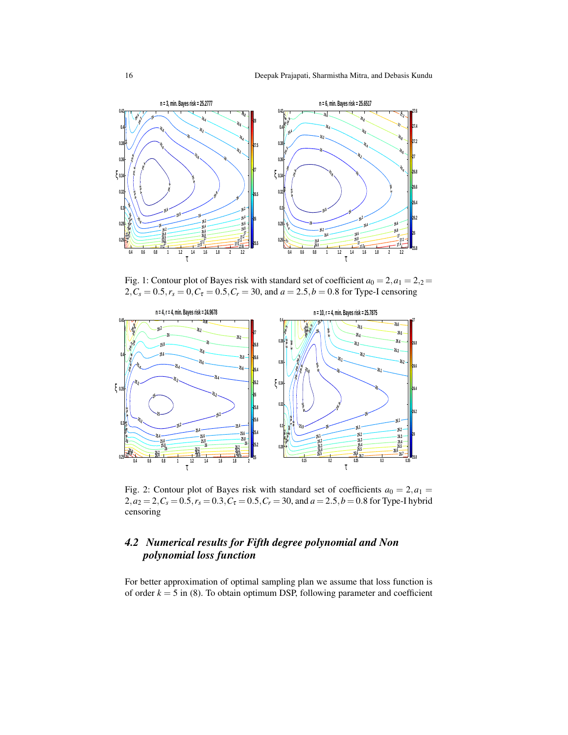

Fig. 1: Contour plot of Bayes risk with standard set of coefficient  $a_0 = 2, a_1 = 2, a_2 = 1$  $2, C_s = 0.5, r_s = 0, C_\tau = 0.5, C_r = 30$ , and  $a = 2.5, b = 0.8$  for Type-I censoring



Fig. 2: Contour plot of Bayes risk with standard set of coefficients  $a_0 = 2, a_1 =$  $2, a_2 = 2, C_s = 0.5, r_s = 0.3, C_\tau = 0.5, C_r = 30,$  and  $a = 2.5, b = 0.8$  for Type-I hybrid censoring

# *4.2 Numerical results for Fifth degree polynomial and Non polynomial loss function*

For better approximation of optimal sampling plan we assume that loss function is of order  $k = 5$  in (8). To obtain optimum DSP, following parameter and coefficient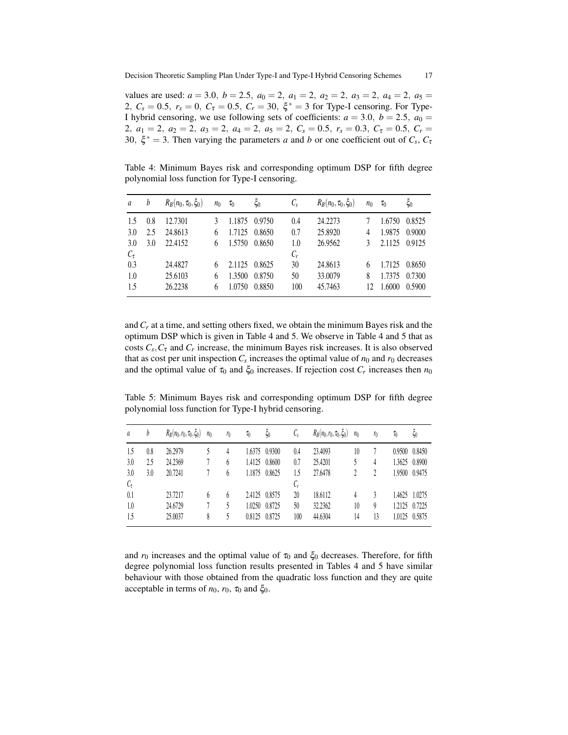values are used:  $a = 3.0$ ,  $b = 2.5$ ,  $a_0 = 2$ ,  $a_1 = 2$ ,  $a_2 = 2$ ,  $a_3 = 2$ ,  $a_4 = 2$ ,  $a_5 =$ 2,  $C_s = 0.5$ ,  $r_s = 0$ ,  $C_{\tau} = 0.5$ ,  $C_r = 30$ ,  $\xi^* = 3$  for Type-I censoring. For Type-I hybrid censoring, we use following sets of coefficients:  $a = 3.0$ ,  $b = 2.5$ ,  $a_0 =$ 2,  $a_1 = 2$ ,  $a_2 = 2$ ,  $a_3 = 2$ ,  $a_4 = 2$ ,  $a_5 = 2$ ,  $C_s = 0.5$ ,  $r_s = 0.3$ ,  $C_\tau = 0.5$ ,  $C_r =$ 30,  $\xi^* = 3$ . Then varying the parameters *a* and *b* or one coefficient out of  $C_s$ ,  $C_t$ 

Table 4: Minimum Bayes risk and corresponding optimum DSP for fifth degree polynomial loss function for Type-I censoring.

| a          | b   | $R_B(n_0, \tau_0, \xi_0)$ | $n_0$ | $\tau_0$ | $\xi_0$ | $C_{S}$ | $R_B(n_0, \tau_0, \xi_0)$ | $n_0$ | $\tau_0$ | $\xi_0$ |
|------------|-----|---------------------------|-------|----------|---------|---------|---------------------------|-------|----------|---------|
| 1.5        | 0.8 | 12.7301                   |       | 1.1875   | 0.9750  | 0.4     | 24.2273                   |       | 1.6750   | 0.8525  |
| 3.0        | 2.5 | 24.8613                   | 6     | 1.7125   | 0.8650  | 0.7     | 25.8920                   | 4     | 1.9875   | 0.9000  |
| 3.0        | 3.0 | 22.4152                   |       | 1.5750   | 0.8650  | 1.0     | 26.9562                   |       | 2.1125   | 0.9125  |
| $C_{\tau}$ |     |                           |       |          |         | $C_r$   |                           |       |          |         |
| 0.3        |     | 24.4827                   |       | 2.1125   | 0.8625  | 30      | 24.8613                   | 6     | 1.7125   | 0.8650  |
| 1.0        |     | 25.6103                   | 6     | 1.3500   | 0.8750  | 50      | 33,0079                   | 8     | 1.7375   | 0.7300  |
| 1.5        |     | 26.2238                   |       | 1.0750   | 0.8850  | 100     | 45.7463                   | 12    | 1.6000   | 0.5900  |

and *C<sup>r</sup>* at a time, and setting others fixed, we obtain the minimum Bayes risk and the optimum DSP which is given in Table 4 and 5. We observe in Table 4 and 5 that as costs  $C_s$ ,  $C_{\tau}$  and  $C_r$  increase, the minimum Bayes risk increases. It is also observed that as cost per unit inspection  $C_s$  increases the optimal value of  $n_0$  and  $r_0$  decreases and the optimal value of  $\tau_0$  and  $\xi_0$  increases. If rejection cost  $C_r$  increases then  $n_0$ 

Table 5: Minimum Bayes risk and corresponding optimum DSP for fifth degree polynomial loss function for Type-I hybrid censoring.

| a                    | b   | $R_B(n_0,r_0,\tau_0,\xi_0)$ | n <sub>0</sub> | r <sub>0</sub> | $\tau_0$ | $\xi_0$       | $\mathcal{C}_{\mathfrak{s}}$ | $R_B(n_0, r_0, \tau_0, \xi_0)$ | n <sub>0</sub> | r <sub>0</sub> | $\tau_0$ | $\xi_0$       |
|----------------------|-----|-----------------------------|----------------|----------------|----------|---------------|------------------------------|--------------------------------|----------------|----------------|----------|---------------|
| 1.5                  | 0.8 | 26.2979                     |                |                |          | 1.6375 0.9300 | 0.4                          | 23.4093                        | 10             |                | 0.9500   | 0.8450        |
| 3.0                  | 2.5 | 24.2369                     |                | 6              | 1.4125   | 0.8600        | 0.7                          | 25.4201                        |                | 4              | 1.3625   | 0.8900        |
| 3.0                  | 3.0 | 20.7241                     |                | 6              | 1.1875   | 0.8625        | 1.5                          | 27.6478                        |                | 2              | 1.9500   | 0.9475        |
| $\mathcal{C}_{\tau}$ |     |                             |                |                |          |               | $\mathcal{C}_r$              |                                |                |                |          |               |
| 0.1                  |     | 23.7217                     | 6              | $\theta$       |          | 2.4125 0.8575 | 20                           | 18.6112                        | 4              |                |          | 1.4625 1.0275 |
| 1.0                  |     | 24.6729                     |                |                | 1.0250   | 0.8725        | 50                           | 32.2362                        | 10             | 9              | 1.2125   | 0.7225        |
| 1.5                  |     | 25.0037                     | 8              |                | 0.8125   | 0.8725        | 100                          | 44.6304                        | 14             | 13             | 1.0125   | 0.5875        |

and  $r_0$  increases and the optimal value of  $\tau_0$  and  $\xi_0$  decreases. Therefore, for fifth degree polynomial loss function results presented in Tables 4 and 5 have similar behaviour with those obtained from the quadratic loss function and they are quite acceptable in terms of  $n_0$ ,  $r_0$ ,  $\tau_0$  and  $\xi_0$ .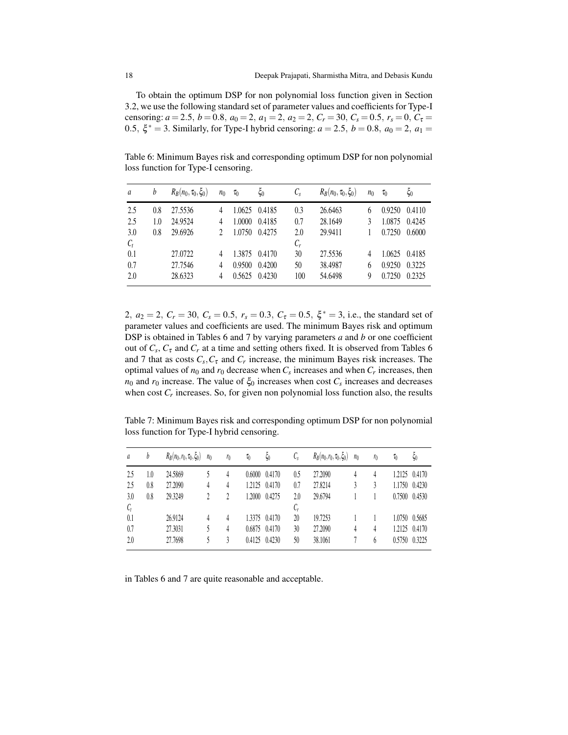To obtain the optimum DSP for non polynomial loss function given in Section 3.2, we use the following standard set of parameter values and coefficients for Type-I censoring:  $a = 2.5$ ,  $b = 0.8$ ,  $a_0 = 2$ ,  $a_1 = 2$ ,  $a_2 = 2$ ,  $C_r = 30$ ,  $C_s = 0.5$ ,  $r_s = 0$ ,  $C_{\tau} =$ 0.5,  $\xi^* = 3$ . Similarly, for Type-I hybrid censoring:  $a = 2.5$ ,  $b = 0.8$ ,  $a_0 = 2$ ,  $a_1 =$ 

Table 6: Minimum Bayes risk and corresponding optimum DSP for non polynomial loss function for Type-I censoring.

| a     | b   | $R_B(n_0, \tau_0, \xi_0)$ | $n_0$ | $\tau_0$ | ξ0     | $C_{s}$ | $R_B(n_0, \tau_0, \xi_0)$ | $n_0$ | $\tau_0$ | $\xi_0$ |
|-------|-----|---------------------------|-------|----------|--------|---------|---------------------------|-------|----------|---------|
| 2.5   | 0.8 | 27.5536                   | 4     | 1.0625   | 0.4185 | 0.3     | 26.6463                   |       | 0.9250   | 0.4110  |
| 2.5   | 1.0 | 24.9524                   | 4     | 1.0000   | 0.4185 | 0.7     | 28.1649                   |       | 1.0875   | 0.4245  |
| 3.0   | 0.8 | 29.6926                   |       | 1.0750   | 0.4275 | 2.0     | 29.9411                   |       | 0.7250   | 0.6000  |
| $C_t$ |     |                           |       |          |        | $C_r$   |                           |       |          |         |
| 0.1   |     | 27.0722                   | 4     | 1.3875   | 0.4170 | 30      | 27.5536                   |       | 1.0625   | 0.4185  |
| 0.7   |     | 27.7546                   | 4     | 0.9500   | 0.4200 | 50      | 38.4987                   | 6     | 0.9250   | 0.3225  |
| 2.0   |     | 28.6323                   | 4     | 0.5625   | 0.4230 | 100     | 54.6498                   | 9     | 0.7250   | 0.2325  |

2,  $a_2 = 2$ ,  $C_r = 30$ ,  $C_s = 0.5$ ,  $r_s = 0.3$ ,  $C_\tau = 0.5$ ,  $\xi^* = 3$ , i.e., the standard set of parameter values and coefficients are used. The minimum Bayes risk and optimum DSP is obtained in Tables 6 and 7 by varying parameters *a* and *b* or one coefficient out of  $C_s$ ,  $C_{\tau}$  and  $C_r$  at a time and setting others fixed. It is observed from Tables 6 and 7 that as costs  $C_s$ ,  $C_{\tau}$  and  $C_r$  increase, the minimum Bayes risk increases. The optimal values of  $n_0$  and  $r_0$  decrease when  $C_s$  increases and when  $C_r$  increases, then *n*<sub>0</sub> and *r*<sub>0</sub> increase. The value of  $\xi_0$  increases when cost  $C_s$  increases and decreases when cost  $C_r$  increases. So, for given non polynomial loss function also, the results

Table 7: Minimum Bayes risk and corresponding optimum DSP for non polynomial loss function for Type-I hybrid censoring.

| a     | b   | $R_B(n_0,r_0,\tau_0,\xi_0)$ | n <sub>0</sub> | $r_0$ | $\tau_0$ | $\zeta_0$     | $\mathcal{C}_s$ | $R_B(n_0, r_0, \tau_0, \xi_0)$ | n <sub>0</sub> | $r_0$ | $\tau_0$ | ζo            |
|-------|-----|-----------------------------|----------------|-------|----------|---------------|-----------------|--------------------------------|----------------|-------|----------|---------------|
| 2.5   | 1.0 | 24.5869                     |                | 4     | 0.6000   | 0.4170        | 0.5             | 27.2090                        | 4              | 4     |          | 1.2125 0.4170 |
| 2.5   | 0.8 | 27.2090                     | 4              | 4     | 1.2125   | 0.4170        | 0.7             | 27.8214                        | 3              |       | 1.1750   | 0.4230        |
| 3.0   | 0.8 | 29.3249                     |                |       | 1.2000   | 0.4275        | 2.0             | 29.6794                        |                |       | 0.7500   | 0.4530        |
| $C_t$ |     |                             |                |       |          |               | $C_r$           |                                |                |       |          |               |
| 0.1   |     | 26.9124                     | 4              | 4     |          | 1.3375 0.4170 | 20              | 19.7253                        |                |       | 1.0750   | 0.5685        |
| 0.7   |     | 27.3031                     |                | 4     | 0.6875   | 0.4170        | 30              | 27.2090                        | 4              | 4     | 1.2125   | 0.4170        |
| 2.0   |     | 27.7698                     |                |       | 0.4125   | 0.4230        | 50              | 38.1061                        |                | b     | 0.5750   | 0.3225        |

in Tables 6 and 7 are quite reasonable and acceptable.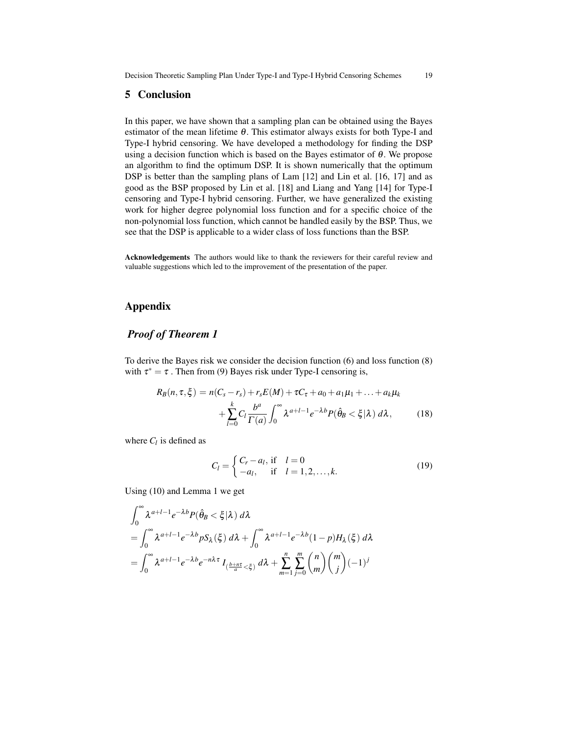#### 5 Conclusion

In this paper, we have shown that a sampling plan can be obtained using the Bayes estimator of the mean lifetime  $\theta$ . This estimator always exists for both Type-I and Type-I hybrid censoring. We have developed a methodology for finding the DSP using a decision function which is based on the Bayes estimator of  $\theta$ . We propose an algorithm to find the optimum DSP. It is shown numerically that the optimum DSP is better than the sampling plans of Lam [12] and Lin et al. [16, 17] and as good as the BSP proposed by Lin et al. [18] and Liang and Yang [14] for Type-I censoring and Type-I hybrid censoring. Further, we have generalized the existing work for higher degree polynomial loss function and for a specific choice of the non-polynomial loss function, which cannot be handled easily by the BSP. Thus, we see that the DSP is applicable to a wider class of loss functions than the BSP.

Acknowledgements The authors would like to thank the reviewers for their careful review and valuable suggestions which led to the improvement of the presentation of the paper.

# Appendix

# *Proof of Theorem 1*

To derive the Bayes risk we consider the decision function (6) and loss function (8) with  $\tau^* = \tau$ . Then from (9) Bayes risk under Type-I censoring is,

$$
R_B(n, \tau, \xi) = n(C_s - r_s) + r_s E(M) + \tau C_\tau + a_0 + a_1 \mu_1 + \dots + a_k \mu_k
$$
  
+ 
$$
\sum_{l=0}^k C_l \frac{b^a}{\Gamma(a)} \int_0^\infty \lambda^{a+l-1} e^{-\lambda b} P(\hat{\theta}_B < \xi | \lambda) d\lambda, \tag{18}
$$

where  $C_l$  is defined as

$$
C_l = \begin{cases} C_r - a_l, & \text{if } l = 0\\ -a_l, & \text{if } l = 1, 2, ..., k. \end{cases}
$$
 (19)

Using (10) and Lemma 1 we get

$$
\int_0^\infty \lambda^{a+l-1} e^{-\lambda b} P(\hat{\theta}_B < \xi | \lambda) d\lambda
$$
  
= 
$$
\int_0^\infty \lambda^{a+l-1} e^{-\lambda b} p S_\lambda(\xi) d\lambda + \int_0^\infty \lambda^{a+l-1} e^{-\lambda b} (1-p) H_\lambda(\xi) d\lambda
$$
  
= 
$$
\int_0^\infty \lambda^{a+l-1} e^{-\lambda b} e^{-n\lambda \tau} I_{(\frac{b+n\tau}{a} < \xi)} d\lambda + \sum_{m=1}^n \sum_{j=0}^m {n \choose m} {m \choose j} (-1)^j
$$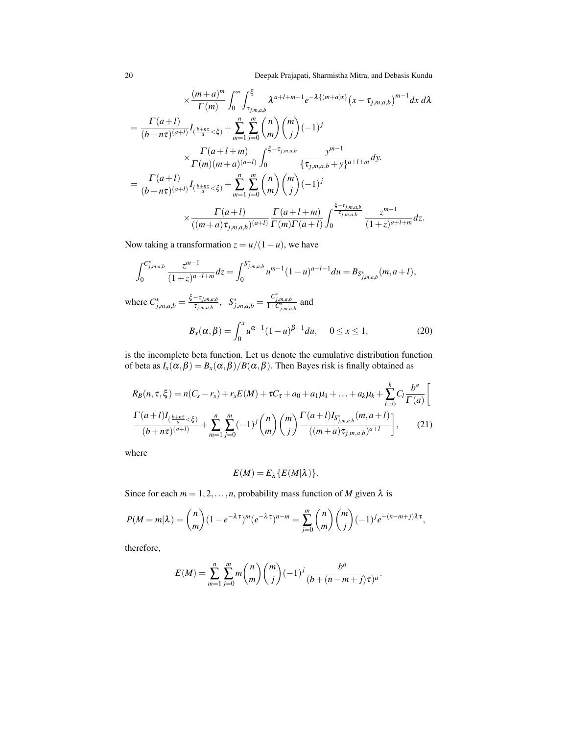20 Deepak Prajapati, Sharmistha Mitra, and Debasis Kundu

$$
\times \frac{(m+a)^m}{\Gamma(m)} \int_0^{\infty} \int_{\tau_{j,m,a,b}}^{\xi} \lambda^{a+l+m-1} e^{-\lambda \{(m+a)x\}} (x - \tau_{j,m,a,b})^{m-1} dx d\lambda
$$
  
\n
$$
= \frac{\Gamma(a+l)}{(b+n\tau)^{(a+l)}} I_{(\frac{b+n\tau}{a} < \xi)} + \sum_{m=1}^n \sum_{j=0}^m {n \choose m} {m \choose j} (-1)^j
$$
  
\n
$$
\times \frac{\Gamma(a+l+m)}{\Gamma(m)(m+a)^{(a+l)}} \int_0^{\xi-\tau_{j,m,a,b}} \frac{y^{m-1}}{\{\tau_{j,m,a,b} + y\}^{a+l+m}} dy.
$$
  
\n
$$
= \frac{\Gamma(a+l)}{(b+n\tau)^{(a+l)}} I_{(\frac{b+n\tau}{a} < \xi)} + \sum_{m=1}^n \sum_{j=0}^m {n \choose m} {m \choose j} (-1)^j
$$
  
\n
$$
\times \frac{\Gamma(a+l)}{((m+a)\tau_{j,m,a,b})^{(a+l)}} \frac{\Gamma(a+l+m)}{\Gamma(m)\Gamma(a+l)} \int_0^{\frac{\xi-\tau_{j,m,a,b}}{\tau_{j,m,a,b}}} \frac{z^{m-1}}{(1+z)^{a+l+m}} dz.
$$

Now taking a transformation  $z = u/(1 - u)$ , we have

$$
\int_0^{C_{j,m,a,b}^*} \frac{z^{m-1}}{(1+z)^{a+l+m}} dz = \int_0^{S_{j,m,a,b}^*} u^{m-1} (1-u)^{a+l-1} du = B_{S_{j,m,a,b}^*}(m, a+l),
$$

where  $C_{j,m,a,b}^* = \frac{\xi - \tau_{j,m,a,b}}{\tau_{j,m,a,b}}$  $\frac{\tau_{j,m,a,b}}{\tau_{j,m,a,b}}, \quad S^*_{j,m,a,b} = \frac{C^*_{j,m,a,b}}{1+C^*_{j,m,a,b}}$  and

$$
B_x(\alpha, \beta) = \int_0^x u^{\alpha - 1} (1 - u)^{\beta - 1} du, \quad 0 \le x \le 1,
$$
 (20)

is the incomplete beta function. Let us denote the cumulative distribution function of beta as  $I_x(\alpha, \beta) = B_x(\alpha, \beta)/B(\alpha, \beta)$ . Then Bayes risk is finally obtained as

$$
R_B(n, \tau, \xi) = n(C_s - r_s) + r_s E(M) + \tau C_\tau + a_0 + a_1 \mu_1 + \dots + a_k \mu_k + \sum_{l=0}^k C_l \frac{b^a}{\Gamma(a)} \left[ \frac{\Gamma(a+l)I_{\left(\frac{b+n\tau}{a} < \xi\right)}}{(b+n\tau)^{(a+l)}} + \sum_{m=1}^n \sum_{j=0}^m (-1)^j \binom{n}{m} \binom{m}{j} \frac{\Gamma(a+l)I_{S^*_{j,m,a,b}}(m, a+l)}{((m+a)\tau_{j,m,a,b})^{a+l}} \right], \tag{21}
$$

where

$$
E(M)=E_{\lambda}\{E(M|\lambda)\}.
$$

Since for each  $m = 1, 2, ..., n$ , probability mass function of *M* given  $\lambda$  is

$$
P(M=m|\lambda) = {n \choose m} (1 - e^{-\lambda \tau})^m (e^{-\lambda \tau})^{n-m} = \sum_{j=0}^m {n \choose m} {m \choose j} (-1)^j e^{-(n-m+j)\lambda \tau},
$$

therefore,

$$
E(M) = \sum_{m=1}^{n} \sum_{j=0}^{m} m \binom{n}{m} \binom{m}{j} (-1)^j \frac{b^a}{(b + (n-m+j)\tau)^a}.
$$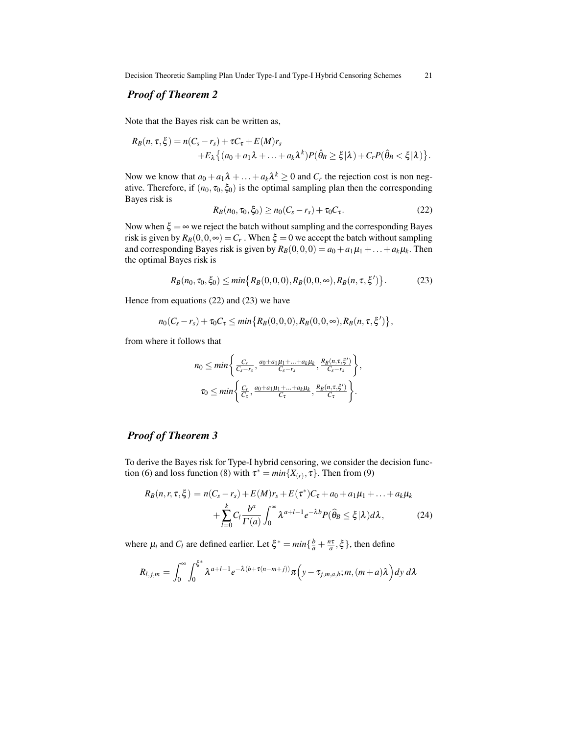Decision Theoretic Sampling Plan Under Type-I and Type-I Hybrid Censoring Schemes 21

# *Proof of Theorem 2*

Note that the Bayes risk can be written as,

$$
R_B(n, \tau, \xi) = n(C_s - r_s) + \tau C_{\tau} + E(M) r_s
$$
  
+
$$
E_{\lambda} \{ (a_0 + a_1 \lambda + \ldots + a_k \lambda^k) P(\hat{\theta}_B \geq \xi | \lambda) + C_r P(\hat{\theta}_B < \xi | \lambda) \}.
$$

Now we know that  $a_0 + a_1\lambda + \ldots + a_k\lambda^k \geq 0$  and  $C_r$  the rejection cost is non negative. Therefore, if  $(n_0, \tau_0, \xi_0)$  is the optimal sampling plan then the corresponding Bayes risk is

$$
R_B(n_0, \tau_0, \xi_0) \ge n_0(C_s - r_s) + \tau_0 C_\tau. \tag{22}
$$

Now when  $\xi = \infty$  we reject the batch without sampling and the corresponding Bayes risk is given by  $R_B(0,0,\infty) = C_r$  . When  $\xi = 0$  we accept the batch without sampling and corresponding Bayes risk is given by  $R_B(0,0,0) = a_0 + a_1\mu_1 + \ldots + a_k\mu_k$ . Then the optimal Bayes risk is

$$
R_B(n_0, \tau_0, \xi_0) \le \min\{R_B(0, 0, 0), R_B(0, 0, \infty), R_B(n, \tau, \xi')\}.
$$
 (23)

Hence from equations (22) and (23) we have

$$
n_0(C_s - r_s) + \tau_0 C_{\tau} \leq \min \{ R_B(0,0,0), R_B(0,0,\infty), R_B(n,\tau,\xi') \},
$$

from where it follows that

$$
n_0 \leq \min\left\{\frac{C_r}{C_s - r_s}, \frac{a_0 + a_1\mu_1 + \dots + a_k\mu_k}{C_s - r_s}, \frac{R_B(n, \tau, \xi')}{C_s - r_s}\right\},\
$$
  

$$
\tau_0 \leq \min\left\{\frac{C_r}{C_\tau}, \frac{a_0 + a_1\mu_1 + \dots + a_k\mu_k}{C_\tau}, \frac{R_B(n, \tau, \xi')}{C_\tau}\right\}.
$$

# *Proof of Theorem 3*

To derive the Bayes risk for Type-I hybrid censoring, we consider the decision function (6) and loss function (8) with  $\tau^* = min\{X_{(r)}, \tau\}$ . Then from (9)

$$
R_B(n, r, \tau, \xi) = n(C_s - r_s) + E(M)r_s + E(\tau^*)C_{\tau} + a_0 + a_1\mu_1 + \dots + a_k\mu_k
$$
  
+ 
$$
\sum_{l=0}^k C_l \frac{b^a}{\Gamma(a)} \int_0^{\infty} \lambda^{a+l-1} e^{-\lambda b} P(\widehat{\theta}_B \le \xi | \lambda) d\lambda,
$$
 (24)

where  $\mu_i$  and  $C_l$  are defined earlier. Let  $\xi^* = \min\{\frac{b}{a} + \frac{n\tau}{a}, \xi\}$ , then define

$$
R_{l,j,m} = \int_0^\infty \int_0^{\xi^*} \lambda^{a+l-1} e^{-\lambda(b+\tau(n-m+j))} \pi\Big(y-\tau_{j,m,a,b};m,(m+a)\lambda\Big) dy d\lambda
$$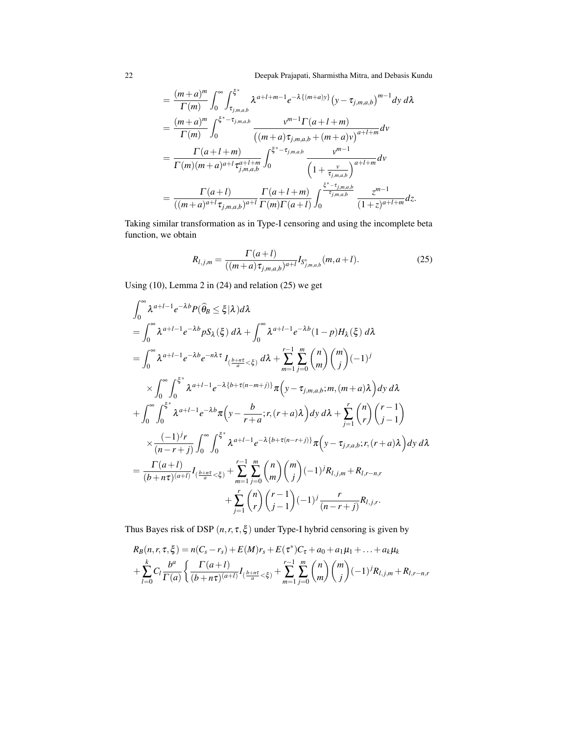22 Deepak Prajapati, Sharmistha Mitra, and Debasis Kundu

$$
= \frac{(m+a)^m}{\Gamma(m)} \int_0^{\infty} \int_{\tau_{j,m,a,b}}^{\xi^*} \lambda^{a+l+m-1} e^{-\lambda \{(m+a)y\}} (\mathbf{y} - \tau_{j,m,a,b})^{m-1} d\mathbf{y} d\lambda
$$
  
\n
$$
= \frac{(m+a)^m}{\Gamma(m)} \int_0^{\xi^*-\tau_{j,m,a,b}} \frac{\mathbf{v}^{m-1} \Gamma(a+l+m)}{((m+a)\tau_{j,m,a,b} + (m+a)\mathbf{v})^{a+l+m}} d\mathbf{v}
$$
  
\n
$$
= \frac{\Gamma(a+l+m)}{\Gamma(m)(m+a)^{a+l} \tau_{j,m,a,b}^{a+l+m}} \int_0^{\xi^*-\tau_{j,m,a,b}} \frac{\mathbf{v}^{m-1}}{\left(1+\frac{\mathbf{v}}{\tau_{j,m,a,b}}\right)^{a+l+m}} d\mathbf{v}
$$
  
\n
$$
= \frac{\Gamma(a+l)}{((m+a)^{a+l} \tau_{j,m,a,b})^{a+l}} \frac{\Gamma(a+l+m)}{\Gamma(m)\Gamma(a+l)} \int_0^{\frac{\xi^*-\tau_{j,m,a,b}}{\tau_{j,m,a,b}}} \frac{z^{m-1}}{(1+z)^{a+l+m}} dz.
$$

Taking similar transformation as in Type-I censoring and using the incomplete beta function, we obtain

$$
R_{l,j,m} = \frac{\Gamma(a+l)}{((m+a)\tau_{j,m,a,b})^{a+l}} I_{S^*_{j,m,a,b}}(m,a+l). \tag{25}
$$

Using (10), Lemma 2 in (24) and relation (25) we get

$$
\int_0^\infty \lambda^{a+l-1} e^{-\lambda b} P(\hat{\theta}_B \leq \xi | \lambda) d\lambda
$$
\n
$$
= \int_0^\infty \lambda^{a+l-1} e^{-\lambda b} p S_\lambda(\xi) d\lambda + \int_0^\infty \lambda^{a+l-1} e^{-\lambda b} (1-p) H_\lambda(\xi) d\lambda
$$
\n
$$
= \int_0^\infty \lambda^{a+l-1} e^{-\lambda b} e^{-n\lambda \tau} I_{\left(\frac{b+n\tau}{a} < \xi\right)} d\lambda + \sum_{m=1}^{r-1} \sum_{j=0}^m {n \choose m} {m \choose j} (-1)^j
$$
\n
$$
\times \int_0^\infty \int_0^{\xi^*} \lambda^{a+l-1} e^{-\lambda \{b+\tau(n-m+j)\}} \pi \left(y - \tau_{j,m,a,b}; m, (m+a)\lambda\right) dy d\lambda
$$
\n
$$
+ \int_0^\infty \int_0^{\xi^*} \lambda^{a+l-1} e^{-\lambda b} \pi \left(y - \frac{b}{r+a}; r, (r+a)\lambda\right) dy d\lambda + \sum_{j=1}^r {n \choose r} {r-1 \choose j-1}
$$
\n
$$
\times \frac{(-1)^j r}{(n-r+j)} \int_0^\infty \int_0^{\xi^*} \lambda^{a+l-1} e^{-\lambda \{b+\tau(n-r+j)\}} \pi \left(y - \tau_{j,r,a,b}; r, (r+a)\lambda\right) dy d\lambda
$$
\n
$$
= \frac{\Gamma(a+l)}{(b+n\tau)^{(a+l)}} I_{\left(\frac{b+n\tau}{a} < \xi\right)} + \sum_{m=1}^{r-1} \sum_{j=0}^m {n \choose m} {m \choose j} (-1)^j R_{l,j,m} + R_{l,r-n,r}
$$
\n
$$
+ \sum_{j=1}^r {n \choose r} {r-1 \choose j-1} (-1)^j \frac{r}{(n-r+j)} R_{l,j,r}.
$$

Thus Bayes risk of DSP  $(n, r, \tau, \xi)$  under Type-I hybrid censoring is given by

$$
R_B(n, r, \tau, \xi) = n(C_s - r_s) + E(M)r_s + E(\tau^*)C_{\tau} + a_0 + a_1\mu_1 + \dots + a_k\mu_k
$$
  
+ 
$$
\sum_{l=0}^k C_l \frac{b^a}{\Gamma(a)} \left\{ \frac{\Gamma(a+l)}{(b+n\tau)^{(a+l)}} I_{(\frac{b+n\tau}{a} < \xi)} + \sum_{m=1}^{r-1} \sum_{j=0}^m {n \choose m} {m \choose j} (-1)^j R_{l,j,m} + R_{l,r-n,r} \right\}
$$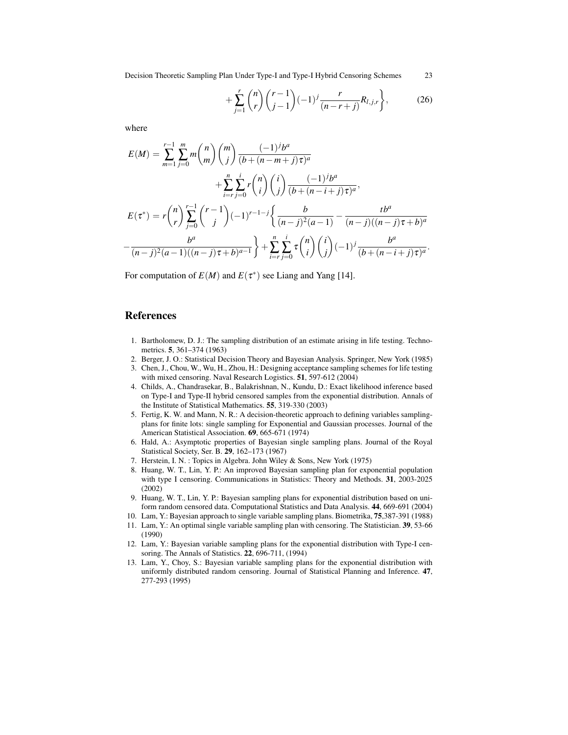Decision Theoretic Sampling Plan Under Type-I and Type-I Hybrid Censoring Schemes 23

$$
+\sum_{j=1}^{r} {n \choose r} {r-1 \choose j-1} (-1)^j \frac{r}{(n-r+j)} R_{l,j,r}, \qquad (26)
$$

where

$$
E(M) = \sum_{m=1}^{r-1} \sum_{j=0}^{m} m \binom{n}{m} \binom{m}{j} \frac{(-1)^j b^a}{(b + (n - m + j)\tau)^a} + \sum_{i=r}^{n} \sum_{j=0}^{i} r \binom{n}{i} \binom{i}{j} \frac{(-1)^j b^a}{(b + (n - i + j)\tau)^a},
$$
  

$$
E(\tau^*) = r \binom{n}{r} \sum_{j=0}^{r-1} \binom{r-1}{j} (-1)^{r-1-j} \left\{ \frac{b}{(n-j)^2 (a-1)} - \frac{t b^a}{(n-j)((n-j)\tau + b)^a} - \frac{b^a}{(n-j)^2 (a-1)((n-j)\tau + b)^{a-1}} \right\} + \sum_{i=r}^{n} \sum_{j=0}^{i} \tau \binom{n}{i} \binom{i}{j} (-1)^j \frac{b^a}{(b + (n-i+j)\tau)^a}.
$$

For computation of  $E(M)$  and  $E(\tau^*)$  see Liang and Yang [14].

### References

- 1. Bartholomew, D. J.: The sampling distribution of an estimate arising in life testing. Technometrics. 5, 361–374 (1963)
- 2. Berger, J. O.: Statistical Decision Theory and Bayesian Analysis. Springer, New York (1985)
- 3. Chen, J., Chou, W., Wu, H., Zhou, H.: Designing acceptance sampling schemes for life testing with mixed censoring. Naval Research Logistics. 51, 597-612 (2004)
- 4. Childs, A., Chandrasekar, B., Balakrishnan, N., Kundu, D.: Exact likelihood inference based on Type-I and Type-II hybrid censored samples from the exponential distribution. Annals of the Institute of Statistical Mathematics. 55, 319-330 (2003)
- 5. Fertig, K. W. and Mann, N. R.: A decision-theoretic approach to defining variables samplingplans for finite lots: single sampling for Exponential and Gaussian processes. Journal of the American Statistical Association. 69, 665-671 (1974)
- 6. Hald, A.: Asymptotic properties of Bayesian single sampling plans. Journal of the Royal Statistical Society, Ser. B. 29, 162–173 (1967)
- 7. Herstein, I. N. : Topics in Algebra. John Wiley & Sons, New York (1975)
- 8. Huang, W. T., Lin, Y. P.: An improved Bayesian sampling plan for exponential population with type I censoring. Communications in Statistics: Theory and Methods. 31, 2003-2025 (2002)
- 9. Huang, W. T., Lin, Y. P.: Bayesian sampling plans for exponential distribution based on uniform random censored data. Computational Statistics and Data Analysis. 44, 669-691 (2004)
- 10. Lam, Y.: Bayesian approach to single variable sampling plans. Biometrika, 75,387-391 (1988)
- 11. Lam, Y.: An optimal single variable sampling plan with censoring. The Statistician. 39, 53-66 (1990)
- 12. Lam, Y.: Bayesian variable sampling plans for the exponential distribution with Type-I censoring. The Annals of Statistics. 22, 696-711, (1994)
- 13. Lam, Y., Choy, S.: Bayesian variable sampling plans for the exponential distribution with uniformly distributed random censoring. Journal of Statistical Planning and Inference. 47, 277-293 (1995)